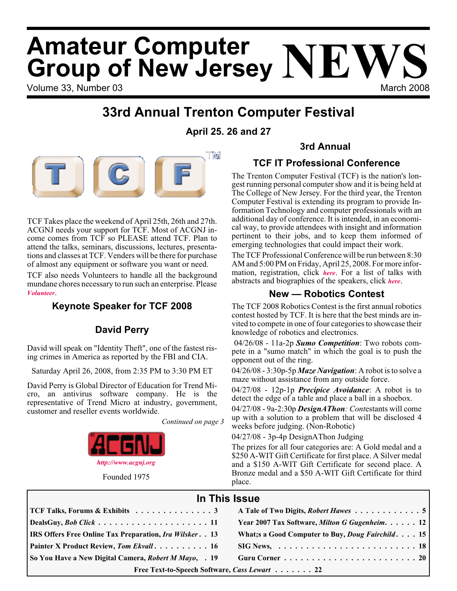# Volume 33. Number 03 March 2008 **Amateur Computer Group of New Jersey NEWS**

### **33rd Annual Trenton Computer Festival**

#### **April 25. 26 and 27**



TCF Takes place the weekend of April 25th, 26th and 27th. ACGNJ needs your support for TCF. Most of ACGNJ income comes from TCF so PLEASE attend TCF. Plan to attend the talks, seminars, discussions, lectures, presentations and classes at TCF. Venders will be there for purchase of almost any equipment or software you want or need.

TCF also needs Volunteers to handle all the background mundane chores necessary to run such an enterprise. Please *[Volunteer](http://www.acgnj.org/tcf_vol/vol.php)*.

### **Keynote Speaker for TCF 2008**

#### **David Perry**

David will speak on "Identity Theft", one of the fastest rising crimes in America as reported by the FBI and CIA.

Saturday April 26, 2008, from 2:35 PM to 3:30 PM ET

David Perry is Global Director of Education for Trend Micro, an antivirus software company. He is the representative of Trend Micro at industry, government, customer and reseller events worldwide.

*Continued on page 3*



Founded 1975

#### **3rd Annual**

#### **TCF IT Professional Conference**

The Trenton Computer Festival (TCF) is the nation's longest running personal computer show and it is being held at The College of New Jersey. For the third year, the Trenton Computer Festival is extending its program to provide Information Technology and computer professionals with an additional day of conference. It is intended, in an economical way, to provide attendees with insight and information pertinent to their jobs, and to keep them informed of emerging technologies that could impact their work.

The TCF Professional Conference will be run between 8:30 AM and 5:00 PM on Friday, April 25, 2008. For more information, registration, click *[here](http://princetonacm.acm.org/tcfpro/)*. For a list of talks with abstracts and biographies of the speakers, click *[here](http://princetonacm.acm.org/tcfpro/abstracts.html)*.

#### **New — Robotics Contest**

The TCF 2008 Robotics Contest is the first annual robotics contest hosted by TCF. It is here that the best minds are invited to compete in one of four categories to showcase their knowledge of robotics and electronics.

04/26/08 - 11a-2p *Sumo Competition*: Two robots compete in a "sumo match" in which the goal is to push the opponent out of the ring.

04/26/08 - 3:30p-5p *Maze Navigation*: A robot is to solve a maze without assistance from any outside force.

04/27/08 - 12p-1p *Precipice Avoidance*: A robot is to detect the edge of a table and place a ball in a shoebox.

04/27/08 - 9a-2:30p *DesignAThon: Cont*estants will come up with a solution to a problem that will be disclosed 4 weeks before judging. (Non-Robotic)

04/27/08 - 3p-4p DesignAThon Judging

The prizes for all four categories are: A Gold medal and a \$250 A-WIT Gift Certificate for first place. A Silver medal and a \$150 A-WIT Gift Certificate for second place. A Bronze medal and a \$50 A-WIT Gift Certificate for third place.

#### **In This Issue**

| So You Have a New Digital Camera, Robert M Mayo, . 19         |                                                                               |
|---------------------------------------------------------------|-------------------------------------------------------------------------------|
| <b>Painter X Product Review, Tom Ekvall 16</b>                | $SIG News, \ldots \ldots \ldots \ldots \ldots \ldots \ldots \ldots \ldots 18$ |
| <b>IRS Offers Free Online Tax Preparation, Ira Wilsker 13</b> | What; s a Good Computer to Buy, <i>Doug Fairchild.</i> 15                     |
|                                                               | Year 2007 Tax Software, Milton G Gugenheim. 12                                |
| <b>TCF Talks, Forums &amp; Exhibits</b> 3                     | A Tale of Two Digits, Robert Hawes 5                                          |
|                                                               |                                                                               |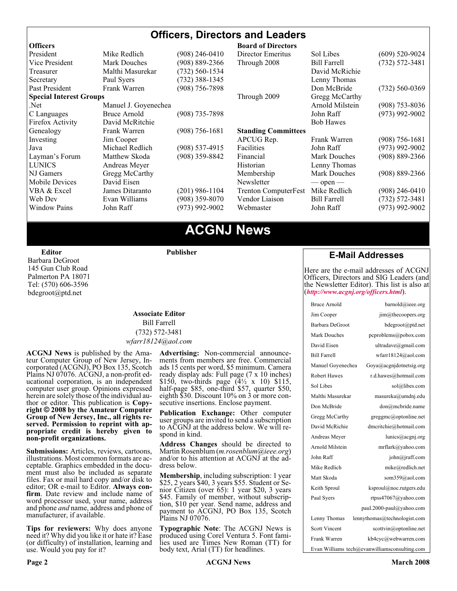#### **Officers, Directors and Leaders**

| <b>Officers</b>                |                      |                    | <b>Board of Directors</b>   |                     |                    |
|--------------------------------|----------------------|--------------------|-----------------------------|---------------------|--------------------|
| President                      | Mike Redlich         | (908) 246-0410     | Director Emeritus           | Sol Libes           | $(609)$ 520-9024   |
| Vice President                 | <b>Mark Douches</b>  | $(908) 889 - 2366$ | Through 2008                | <b>Bill Farrell</b> | $(732) 572 - 3481$ |
| Treasurer                      | Malthi Masurekar     | $(732) 560 - 1534$ |                             | David McRichie      |                    |
| Secretary                      | Paul Syers           | $(732)$ 388-1345   |                             | Lenny Thomas        |                    |
| Past President                 | Frank Warren         | $(908)$ 756-7898   |                             | Don McBride         | $(732) 560 - 0369$ |
| <b>Special Interest Groups</b> |                      |                    | Through 2009                | Gregg McCarthy      |                    |
| Net.                           | Manuel J. Goyenechea |                    |                             | Arnold Milstein     | $(908)$ 753-8036   |
| C Languages                    | Bruce Arnold         | $(908)$ 735-7898   |                             | John Raff           | $(973)$ 992-9002   |
| Firefox Activity               | David McRitchie      |                    |                             | <b>Bob Hawes</b>    |                    |
| Genealogy                      | Frank Warren         | $(908) 756 - 1681$ | <b>Standing Committees</b>  |                     |                    |
| Investing                      | Jim Cooper           |                    | APCUG Rep.                  | Frank Warren        | $(908)$ 756-1681   |
| Java                           | Michael Redlich      | $(908)$ 537-4915   | Facilities                  | John Raff           | $(973)$ 992-9002   |
| Layman's Forum                 | Matthew Skoda        | (908) 359-8842     | Financial                   | <b>Mark Douches</b> | $(908) 889 - 2366$ |
| <b>LUNICS</b>                  | Andreas Meyer        |                    | Historian                   | Lenny Thomas        |                    |
| NJ Gamers                      | Gregg McCarthy       |                    | Membership                  | Mark Douches        | $(908) 889 - 2366$ |
| Mobile Devices                 | David Eisen          |                    | Newsletter                  | $-$ open $-$        |                    |
| VBA & Excel                    | James Ditaranto      | $(201)$ 986-1104   | <b>Trenton ComputerFest</b> | Mike Redlich        | $(908)$ 246-0410   |
| Web Dev                        | Evan Williams        | $(908)$ 359-8070   | Vendor Liaison              | <b>Bill Farrell</b> | $(732) 572 - 3481$ |
| <b>Window Pains</b>            | John Raff            | $(973)$ 992-9002   | Webmaster                   | John Raff           | $(973)$ 992-9002   |
|                                |                      |                    |                             |                     |                    |

### **ACGNJ News**

**Editor** Barbara DeGroot 145 Gun Club Road Palmerton PA 18071 Tel: (570) 606-3596 bdegroot@ptd.net

#### **Associate Editor** Bill Farrell (732) 572-3481 *wfarr18124@aol.com*

**Publisher**

**ACGNJ News** is published by the Amateur Computer Group of New Jersey, Incorporated (ACGNJ), PO Box 135, Scotch Plains NJ 07076. ACGNJ, a non-profit educational corporation, is an independent computer user group. Opinions expressed<br>herein are solely those of the individual author or editor. This publication is **Copy-**<br>right © 2008 by the Amateur Computer<br>Group of New Jersey, Inc., all rights re-**Group of New Jersey, Inc., all rights re- served. Permission to reprint with ap- propriate credit is hereby given to non-profit organizations.**

**Submissions:** Articles, reviews, cartoons, illustrations. Most common formats are acceptable. Graphics embedded in the docu-<br>ment must also be included as separate files. Fax or mail hard copy and/or disk to editor: OR e-mail to Editor. **Always con**firm. Date review and include name of word processor used, your name, address and phone *and* name, address and phone of manufacturer, if available.

**Tips for reviewers:** Why does anyone need it? Why did you like it or hate it? Ease (or difficulty) of installation, learning and use. Would you pay for it?

**Advertising:** Non-commercial announce- ments from members are free. Commercial ads 15 cents per word, \$5 minimum. Camera ready display ads: Full page (7 x 10 inches) \$150, two-thirds page  $(4\frac{1}{2} \times 10)$  \$115, half-page \$85, one-third \$57, quarter \$50, eighth \$30. Discount 10% on 3 or more con- secutive insertions. Enclose payment.

**Publication Exchange:** Other computer user groups are invited to send a subscription to ACGNJ at the address below. We will re- spond in kind.

**Address Changes** should be directed to Martin Rosenblum (*m.rosenblum@ieee.org*) and/or to his attention at ACGNJ at the ad- dress below.

**Membership**, including subscription: 1 year \$25, 2 years \$40, 3 years \$55. Student or Senior Citizen (over 65): 1 year \$20, 3 years \$45. Family of member, without subscription, \$10 per year. Send name, address and payment to ACGNJ, PO Box 135, Scotch Plains NJ 07076.

**Typographic Note**: The ACGNJ News is produced using Corel Ventura 5. Font fami- lies used are Times New Roman (TT) for body text, Arial (TT) for headlines.

#### **E-Mail Addresses**

Here are the e-mail addresses of ACGNJ Officers, Directors and SIG Leaders (and the Newsletter Editor). This list is also at (*<http://www.acgnj.org/officers.html>*).

| Bruce Arnold                                  | barnold@ieee.org               |  |  |
|-----------------------------------------------|--------------------------------|--|--|
| Jim Cooper                                    | $\lim$ ( $a$ ) the coopers.org |  |  |
| Barbara DeGroot                               | bdegroot@ptd.net               |  |  |
| Mark Douches                                  | pcproblems@pobox.com           |  |  |
| David Eisen                                   | ultradave@gmail.com            |  |  |
| <b>Bill Farrell</b>                           | wfarr18124@aol.com             |  |  |
| Manuel Goyenechea                             | Goya@acgnidotnetsig.org        |  |  |
| <b>Robert Hawes</b>                           | r.d.hawes@hotmail.com          |  |  |
| Sol Libes                                     | sol@libes.com                  |  |  |
| Malthi Masurekar                              | masureka@umdnj.edu             |  |  |
| Don McBride                                   | don@mcbride.name               |  |  |
| Gregg McCarthy                                | greggmc@optonline.net          |  |  |
| David McRichie                                | dmcritchie@hotmail.com         |  |  |
| Andreas Meyer                                 | lunics@acgnj.org               |  |  |
| Arnold Milstein                               | mrflark@yahoo.com              |  |  |
| John Raff                                     | john@jraff.com                 |  |  |
| Mike Redlich                                  | mike@redlich.net               |  |  |
| Matt Skoda                                    | som359@aol.com                 |  |  |
| Keith Sproul                                  | ksproul@noc.rutgers.edu        |  |  |
| Paul Syers                                    | rtpss47067@yahoo.com           |  |  |
|                                               | paul.2000-paul@yahoo.com       |  |  |
| Lenny Thomas                                  | lennythomas@technologist.com   |  |  |
| <b>Scott Vincent</b>                          | scottvin@optonline.net         |  |  |
| Frank Warren                                  | kb4cyc@webwarren.com           |  |  |
| Evan Williams tech@evanwilliamsconsulting.com |                                |  |  |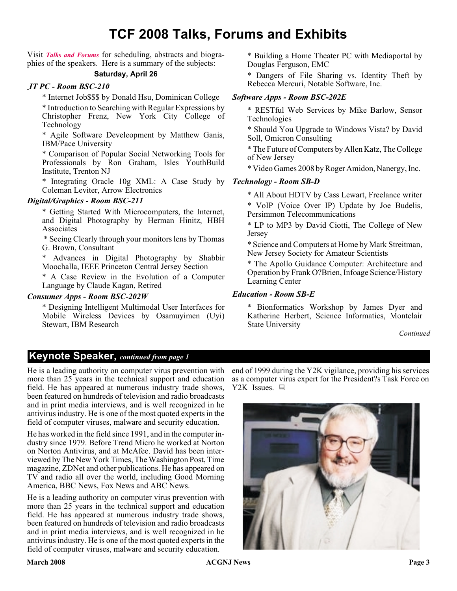### **TCF 2008 Talks, Forums and Exhibits**

Visit *[Talks and Forums](http://www.tcf-nj.org/web/TCF-2008-Talks-and-Forums.html)* for scheduling, abstracts and biographies of the speakers. Here is a summary of the subjects:

#### **Saturday, April 26**

#### *IT PC - Room BSC-210*

\* Internet Job\$\$\$ by Donald Hsu, Dominican College

\* Introduction to Searching with Regular Expressions by Christopher Frenz, New York City College of Technology

\* Agile Software Develeopment by Matthew Ganis, IBM/Pace University

\* Comparison of Popular Social Networking Tools for Professionals by Ron Graham, Isles YouthBuild Institute, Trenton NJ

\* Integrating Oracle 10g XML: A Case Study by Coleman Leviter, Arrow Electronics

#### *Digital/Graphics - Room BSC-211*

\* Getting Started With Microcomputers, the Internet, and Digital Photography by Herman Hinitz, HBH Associates

\* Seeing Clearly through your monitors lens by Thomas G. Brown, Consultant

\* Advances in Digital Photography by Shabbir Moochalla, IEEE Princeton Central Jersey Section

\* A Case Review in the Evolution of a Computer Language by Claude Kagan, Retired

#### *Consumer Apps - Room BSC-202W*

\* Designing Intelligent Multimodal User Interfaces for Mobile Wireless Devices by Osamuyimen (Uyi) Stewart, IBM Research

\* Building a Home Theater PC with Mediaportal by Douglas Ferguson, EMC

\* Dangers of File Sharing vs. Identity Theft by Rebecca Mercuri, Notable Software, Inc.

#### *Software Apps - Room BSC-202E*

\* RESTful Web Services by Mike Barlow, Sensor Technologies

\* Should You Upgrade to Windows Vista? by David Soll, Omicron Consulting

\* The Future of Computers by Allen Katz, The College of New Jersey

\* Video Games 2008 by Roger Amidon, Nanergy, Inc.

#### *Technology - Room SB-D*

\* All About HDTV by Cass Lewart, Freelance writer

\* VoIP (Voice Over IP) Update by Joe Budelis, Persimmon Telecommunications

\* LP to MP3 by David Ciotti, The College of New Jersey

\* Science and Computers at Home by Mark Streitman, New Jersey Society for Amateur Scientists

\* The Apollo Guidance Computer: Architecture and Operation by Frank O?Brien, Infoage Science/History Learning Center

#### *Education - Room SB-E*

\* Bionformatics Workshop by James Dyer and Katherine Herbert, Science Informatics, Montclair State University

*Continued*

#### **Keynote Speaker,** *continued from page 1*

He is a leading authority on computer virus prevention with more than 25 years in the technical support and education field. He has appeared at numerous industry trade shows, been featured on hundreds of television and radio broadcasts and in print media interviews, and is well recognized in he antivirus industry. He is one of the most quoted experts in the field of computer viruses, malware and security education.

He has worked in the field since 1991, and in the computer industry since 1979. Before Trend Micro he worked at Norton on Norton Antivirus, and at McAfee. David has been interviewed by The New York Times, The Washington Post, Time magazine, ZDNet and other publications. He has appeared on TV and radio all over the world, including Good Morning America, BBC News, Fox News and ABC News.

He is a leading authority on computer virus prevention with more than 25 years in the technical support and education field. He has appeared at numerous industry trade shows, been featured on hundreds of television and radio broadcasts and in print media interviews, and is well recognized in he antivirus industry. He is one of the most quoted experts in the field of computer viruses, malware and security education.

end of 1999 during the Y2K vigilance, providing his services as a computer virus expert for the President?s Task Force on Y2K Issues.  $\Box$ 

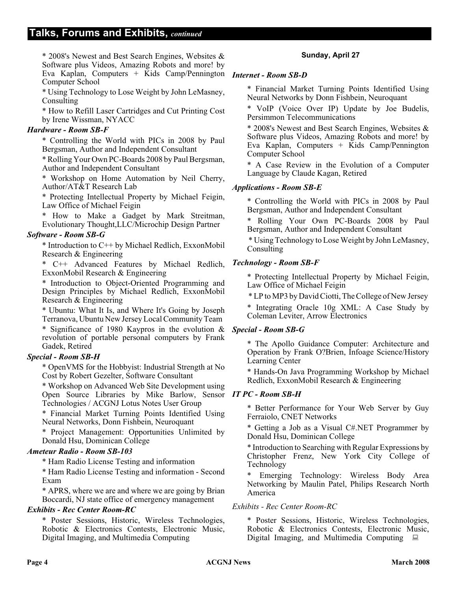\* 2008's Newest and Best Search Engines, Websites & Software plus Videos, Amazing Robots and more! by Eva Kaplan, Computers + Kids Camp/Pennington *Internet - Room SB-D* Computer School

\* Using Technology to Lose Weight by John LeMasney, Consulting

\* How to Refill Laser Cartridges and Cut Printing Cost by Irene Wissman, NYACC

#### *Hardware - Room SB-F*

\* Controlling the World with PICs in 2008 by Paul Bergsman, Author and Independent Consultant

\* Rolling Your Own PC-Boards 2008 by Paul Bergsman, Author and Independent Consultant

\* Workshop on Home Automation by Neil Cherry, Author/AT&T Research Lab

\* Protecting Intellectual Property by Michael Feigin, Law Office of Michael Feigin

\* How to Make a Gadget by Mark Streitman, Evolutionary Thought,LLC/Microchip Design Partner

#### *Software - Room SB-G*

\* Introduction to C++ by Michael Redlich, ExxonMobil Research & Engineering

\* C++ Advanced Features by Michael Redlich, ExxonMobil Research & Engineering

\* Introduction to Object-Oriented Programming and Design Principles by Michael Redlich, ExxonMobil Research & Engineering

\* Ubuntu: What It Is, and Where It's Going by Joseph Terranova, Ubuntu New Jersey Local Community Team

\* Significance of 1980 Kaypros in the evolution & revolution of portable personal computers by Frank Gadek, Retired

#### *Special - Room SB-H*

\* OpenVMS for the Hobbyist: Industrial Strength at No Cost by Robert Gezelter, Software Consultant

\* Workshop on Advanced Web Site Development using Open Source Libraries by Mike Barlow, Sensor *IT PC - Room SB-H* Technologies / ACGNJ Lotus Notes User Group

\* Financial Market Turning Points Identified Using Neural Networks, Donn Fishbein, Neuroquant

\* Project Management: Opportunities Unlimited by Donald Hsu, Dominican College

#### *Ameteur Radio - Room SB-103*

\* Ham Radio License Testing and information

\* Ham Radio License Testing and information - Second Exam

\* APRS, where we are and where we are going by Brian Boccardi, NJ state office of emergency management

#### *Exhibits - Rec Center Room-RC*

\* Poster Sessions, Historic, Wireless Technologies, Robotic & Electronics Contests, Electronic Music, Digital Imaging, and Multimedia Computing

#### **Sunday, April 27**

\* Financial Market Turning Points Identified Using Neural Networks by Donn Fishbein, Neuroquant

\* VoIP (Voice Over IP) Update by Joe Budelis, Persimmon Telecommunications

\* 2008's Newest and Best Search Engines, Websites & Software plus Videos, Amazing Robots and more! by Eva Kaplan, Computers + Kids Camp/Pennington Computer School

\* A Case Review in the Evolution of a Computer Language by Claude Kagan, Retired

#### *Applications - Room SB-E*

\* Controlling the World with PICs in 2008 by Paul Bergsman, Author and Independent Consultant

Rolling Your Own PC-Boards 2008 by Paul Bergsman, Author and Independent Consultant

\* Using Technology to Lose Weight by John LeMasney, Consulting

#### *Technology - Room SB-F*

\* Protecting Intellectual Property by Michael Feigin, Law Office of Michael Feigin

\* LP to MP3 by David Ciotti, The College of New Jersey

\* Integrating Oracle 10g XML: A Case Study by Coleman Leviter, Arrow Electronics

#### *Special - Room SB-G*

\* The Apollo Guidance Computer: Architecture and Operation by Frank O?Brien, Infoage Science/History Learning Center

\* Hands-On Java Programming Workshop by Michael Redlich, ExxonMobil Research & Engineering

\* Better Performance for Your Web Server by Guy Ferraiolo, CNET Networks

\* Getting a Job as a Visual C#.NET Programmer by Donald Hsu, Dominican College

\* Introduction to Searching with Regular Expressions by Christopher Frenz, New York City College of Technology

Emerging Technology: Wireless Body Area Networking by Maulin Patel, Philips Research North America

#### *Exhibits - Rec Center Room-RC*

\* Poster Sessions, Historic, Wireless Technologies, Robotic & Electronics Contests, Electronic Music, Digital Imaging, and Multimedia Computing  $\Box$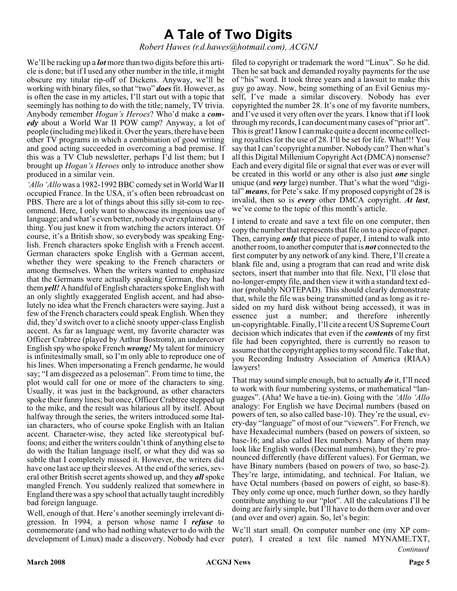### **A Tale of Two Digits**

*Robert Hawes (r.d.hawes@hotmail.com), ACGNJ*

We'll be racking up a *lot* more than two digits before this article is done; but if I used any other number in the title, it might obscure my titular rip-off of Dickens. Anyway, we'll be working with binary files, so that "two" *does*fit. However, as is often the case in my articles, I'll start out with a topic that seemingly has nothing to do with the title; namely, TV trivia. Anybody remember *Hogan's Heroes*? Who'd make a *comedy* about a World War II POW camp? Anyway, a lot of people (including me) liked it. Over the years, there have been other TV programs in which a combination of good writing and good acting succeeded in overcoming a bad premise. If this was a TV Club newsletter, perhaps I'd list them; but I brought up *Hogan's Heroes* only to introduce another show produced in a similar vein.

*'Allo 'Allo* was a 1982-1992 BBC comedy set in World War II occupied France. In the USA, it's often been rebroadcast on PBS. There are a lot of things about this silly sit-com to recommend. Here, I only want to showcase its ingenious use of language; and what's even better, nobody ever explained anything. You just knew it from watching the actors interact. Of course, it's a British show, so everybody was speaking English. French characters spoke English with a French accent. German characters spoke English with a German accent, whether they were speaking to the French characters or among themselves. When the writers wanted to emphasize that the Germans were actually speaking German, they had them*yell!* A handful of English characters spoke English with an only slightly exaggerated English accent, and had absolutely no idea what the French characters were saying. Just a few of the French characters could speak English. When they did, they'd switch over to a cliché snooty upper-class English accent. As far as language went, my favorite character was Officer Crabtree (played by Arthur Bostrom), an undercover English spy who spoke French *wrong!* My talent for mimicry is infinitesimally small, so I'm only able to reproduce one of his lines. When impersonating a French gendarme, he would say; "I am disgeezed as a peloseman". From time to time, the plot would call for one or more of the characters to sing. Usually, it was just in the background, as other characters spoke their funny lines; but once, Officer Crabtree stepped up to the mike, and the result was hilarious all by itself. About halfway through the series, the writers introduced some Italian characters, who of course spoke English with an Italian accent. Character-wise, they acted like stereotypical buffoons; and either the writers couldn't think of anything else to do with the Italian language itself, or what they did was so subtle that I completely missed it. However, the writers did have one last ace up their sleeves. At the end of the series, several other British secret agents showed up, and they *all* spoke mangled French. You suddenly realized that somewhere in England there was a spy school that actually taught incredibly bad foreign language.

Well, enough of that. Here's another seemingly irrelevant digression. In 1994, a person whose name I *refuse* to commemorate (and who had nothing whatever to do with the development of Linux) made a discovery. Nobody had ever

filed to copyright or trademark the word "Linux". So he did. Then he sat back and demanded royalty payments for the use of "his" word. It took three years and a lawsuit to make this guy go away. Now, being something of an Evil Genius myself, I've made a similar discovery. Nobody has ever copyrighted the number 28. It's one of my favorite numbers, and I've used it very often over the years. I know that if I look through my records, I can document many cases of "prior art". This is great! I know I can make quite a decent income collecting royalties for the use of 28. I'll be set for life. What!!! You say that I can't copyright a number. Nobody can? Then what's all this Digital Millenium Copyright Act (DMCA) nonsense? Each and every digital file or signal that ever was or ever will be created in this world or any other is also just *one* single unique (and *very* large) number. That's what the word "digital" *means*, for Pete's sake. If my proposed copyright of 28 is invalid, then so is *every* other DMCA copyright. *At last*, we've come to the topic of this month's article.

I intend to create and save a text file on one computer, then copy the number that represents that file on to a piece of paper. Then, carrying *only* that piece of paper, I intend to walk into another room, to another computer that is *not* connected to the first computer by any network of any kind. There, I'll create a blank file and, using a program that can read and write disk sectors, insert that number into that file. Next, I'll close that no-longer-empty file, and then view it with a standard text editor (probably NOTEPAD). This should clearly demonstrate that, while the file was being transmitted (and as long as it resided on my hard disk without being accessed), it was in essence just a number; and therefore inherently un-copyrightable. Finally, I'll cite a recent US Supreme Court decision which indicates that even if the *contents* of my first file had been copyrighted, there is currently no reason to assume that the copyright applies to my second file. Take that, you Recording Industry Association of America (RIAA) lawyers!

That may sound simple enough, but to actually *do* it, I'll need to work with four numbering systems, or mathematical "languages". (Aha! We have a tie-in). Going with the *'Allo 'Allo* analogy: For English we have Decimal numbers (based on powers of ten, so also called base-10). They're the usual, every-day "language" of most of our "viewers". For French, we have Hexadecimal numbers (based on powers of sixteen, so base-16; and also called Hex numbers). Many of them may look like English words (Decimal numbers), but they're pronounced differently (have different values). For German, we have Binary numbers (based on powers of two, so base-2). They're large, intimidating, and technical. For Italian, we have Octal numbers (based on powers of eight, so base-8). They only come up once, much further down, so they hardly contribute anything to our "plot". All the calculations I'll be doing are fairly simple, but I'll have to do them over and over (and over and over) again. So, let's begin:

*Continued* We'll start small. On computer number one (my XP computer), I created a text file named MYNAME.TXT,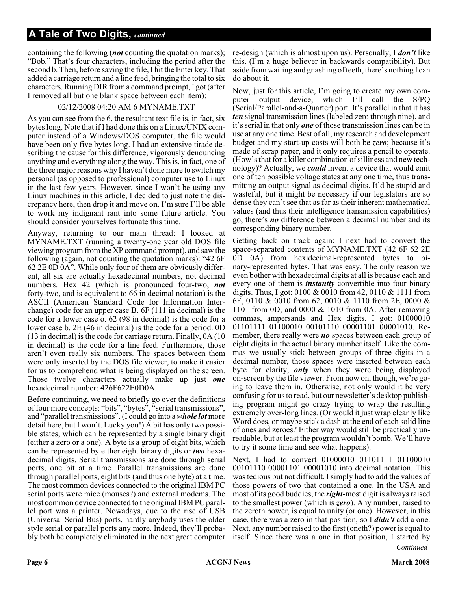containing the following (*not* counting the quotation marks); "Bob." That's four characters, including the period after the second b. Then, before saving the file, I hit the Enter key. That added a carriage return and a line feed, bringing the total to six characters. Running DIR from a command prompt, I got (after I removed all but one blank space between each item):

#### 02/12/2008 04:20 AM 6 MYNAME.TXT

As you can see from the 6, the resultant text file is, in fact, six bytes long. Note that if I had done this on a Linux/UNIX computer instead of a Windows/DOS computer, the file would have been only five bytes long. I had an extensive tirade describing the cause for this difference, vigorously denouncing anything and everything along the way. This is, in fact, one of the three major reasons why I haven't done more to switch my personal (as opposed to professional) computer use to Linux in the last few years. However, since I won't be using any Linux machines in this article, I decided to just note the discrepancy here, then drop it and move on. I'm sure I'll be able to work my indignant rant into some future article. You should consider yourselves fortunate this time.

Anyway, returning to our main thread: I looked at MYNAME.TXT (running a twenty-one year old DOS file viewing program from the XP command prompt), and saw the following (again, not counting the quotation marks): "42 6F 62 2E 0D 0A". While only four of them are obviously different, all six are actually hexadecimal numbers, not decimal numbers. Hex 42 (which is pronounced four-two, *not* forty-two, and is equivalent to 66 in decimal notation) is the ASCII (American Standard Code for Information Interchange) code for an upper case B. 6F (111 in decimal) is the code for a lower case o. 62 (98 in decimal) is the code for a lower case b. 2E (46 in decimal) is the code for a period. 0D (13 in decimal) is the code for carriage return. Finally, 0A (10 in decimal) is the code for a line feed. Furthermore, those aren't even really six numbers. The spaces between them were only inserted by the DOS file viewer, to make it easier for us to comprehend what is being displayed on the screen. Those twelve characters actually make up just *one* hexadecimal number: 426F622E0D0A.

Before continuing, we need to briefly go over the definitions of four more concepts: "bits", "bytes", "serial transmissions", and "parallel transmissions". (I could go into a*whole lot* more detail here, but I won't. Lucky you!) A bit has only two possible states, which can be represented by a single binary digit (either a zero or a one). A byte is a group of eight bits, which can be represented by either eight binary digits or *two* hexadecimal digits. Serial transmissions are done through serial ports, one bit at a time. Parallel transmissions are done through parallel ports, eight bits (and thus one byte) at a time. The most common devices connected to the original IBM PC serial ports were mice (mouses?) and external modems. The most common device connected to the original IBM PC parallel port was a printer. Nowadays, due to the rise of USB (Universal Serial Bus) ports, hardly anybody uses the older style serial or parallel ports any more. Indeed, they'll probably both be completely eliminated in the next great computer re-design (which is almost upon us). Personally, I *don't* like this. (I'm a huge believer in backwards compatibility). But aside from wailing and gnashing of teeth, there's nothing I can do about it.

Now, just for this article, I'm going to create my own computer output device; which I'll call the S/PQ (Serial/Parallel-and-a-Quarter) port. It's parallel in that it has *ten* signal transmission lines (labeled zero through nine), and it's serial in that only *one* of those transmission lines can be in use at any one time. Best of all, my research and development budget and my start-up costs will both be *zero*; because it's made of scrap paper, and it only requires a pencil to operate. (How's that for a killer combination of silliness and new technology)? Actually, we *could* invent a device that would emit one of ten possible voltage states at any one time, thus transmitting an output signal as decimal digits. It'd be stupid and wasteful, but it might be necessary if our legislators are so dense they can't see that as far as their inherent mathematical values (and thus their intelligence transmission capabilities) go, there's *no* difference between a decimal number and its corresponding binary number.

Getting back on track again: I next had to convert the space-separated contents of MYNAME.TXT (42 6F 62 2E 0D 0A) from hexidecimal-represented bytes to binary-represented bytes. That was easy. The only reason we even bother with hexadecimal digits at all is because each and every one of them is *instantly* convertible into four binary digits. Thus, I got: 0100 & 0010 from 42, 0110 & 1111 from 6F, 0110 & 0010 from 62, 0010 & 1110 from 2E, 0000 & 1101 from 0D, and 0000 & 1010 from 0A. After removing commas, ampersands and Hex digits, I got: 01000010 01101111 01100010 00101110 00001101 00001010. Remember, there really were *no* spaces between each group of eight digits in the actual binary number itself. Like the commas we usually stick between groups of three digits in a decimal number, those spaces were inserted between each byte for clarity, *only* when they were being displayed on-screen by the file viewer. From now on, though, we're going to leave them in. Otherwise, not only would it be very confusing for us to read, but our newsletter's desktop publishing program might go crazy trying to wrap the resulting extremely over-long lines. (Or would it just wrap cleanly like Word does, or maybe stick a dash at the end of each solid line of ones and zeroes? Either way would still be practically unreadable, but at least the program wouldn't bomb. We'll have to try it some time and see what happens).

Next, I had to convert 01000010 01101111 01100010 00101110 00001101 00001010 into decimal notation. This was tedious but not difficult. I simply had to add the values of those powers of two that contained a one. In the USA and most of its good buddies, the *right*-most digit is always raised to the smallest power (which is *zero*). Any number, raised to the zeroth power, is equal to unity (or one). However, in this case, there was a zero in that position, so I *didn't* add a one. Next, any number raised to the first (oneth?) power is equal to itself. Since there was a one in that position, I started by

*Continued*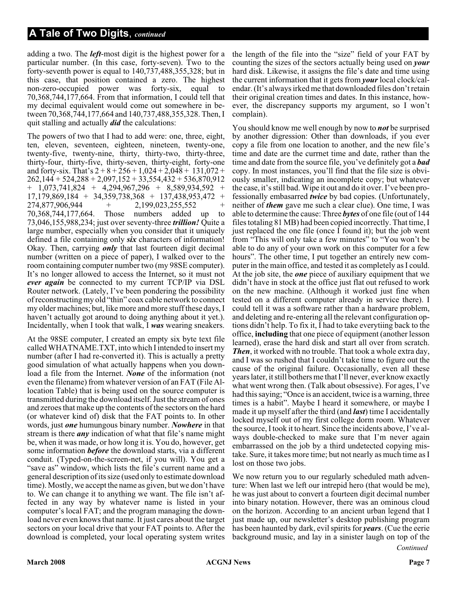adding a two. The *left*-most digit is the highest power for a particular number. (In this case, forty-seven). Two to the forty-seventh power is equal to 140,737,488,355,328; but in this case, that position contained a zero. The highest non-zero-occupied power was forty-six, equal to 70,368,744,177,664. From that information, I could tell that my decimal equivalent would come out somewhere in between 70,368,744,177,664 and 140,737,488,355,328. Then, I quit stalling and actually *did* the calculations:

The powers of two that I had to add were: one, three, eight, ten, eleven, seventeen, eighteen, nineteen, twenty-one, twenty-five, twenty-nine, thirty, thirty-two, thirty-three, thirty-four, thirty-five, thirty-seven, thirty-eight, forty-one and forty-six. That's  $2 + 8 + 256 + 1,024 + 2,048 + 131,072 +$  $262,144 + 524,288 + 2,097,152 + 33,554,432 + 536,870,912$ + 1,073,741,824 + 4,294,967,296 + 8,589,934,592 +  $17,179,869,184$  + 34,359,738,368 + 137,438,953,472 + 274,877,906,944 + 2,199,023,255,552 +  $+$  2,199,023,255,552  $+$ 70,368,744,177,664. Those numbers added up to 73,046,155,988,234; just over seventy-three *trillion!* Quite a large number, especially when you consider that it uniquely defined a file containing only *six* characters of information! Okay. Then, carrying *only* that last fourteen digit decimal number (written on a piece of paper), I walked over to the room containing computer number two (my 98SE computer). It's no longer allowed to access the Internet, so it must not *ever again* be connected to my current TCP/IP via DSL Router network. (Lately, I've been pondering the possibility of reconstructing my old "thin" coax cable network to connect my older machines; but, like more and more stuff these days, I haven't actually got around to doing anything about it yet.). Incidentally, when I took that walk, I *was* wearing sneakers.

At the 98SE computer, I created an empty six byte text file called WHATNAME.TXT, into which I intended to insert my number (after I had re-converted it). This is actually a pretty good simulation of what actually happens when you download a file from the Internet. *None* of the information (not even the filename) from whatever version of an FAT (File Allocation Table) that is being used on the source computer is transmitted during the download itself. Just the stream of ones and zeroes that make up the contents of the sectors on the hard (or whatever kind of) disk that the FAT points to. In other words, just *one* humungous binary number. *Nowhere* in that stream is there *any* indication of what that file's name might be, when it was made, or how long it is. You do, however, get some information *before* the download starts, via a different conduit. (Typed-on-the-screen-net, if you will). You get a "save as" window, which lists the file's current name and a general description of its size (used only to estimate download time). Mostly, we accept the name as given, but we don't have to. We can change it to anything we want. The file isn't affected in any way by whatever name is listed in your computer's local FAT; and the program managing the download never even knows that name. It just cares about the target sectors on your local drive that your FAT points to. After the download is completed, your local operating system writes

the length of the file into the "size" field of your FAT by counting the sizes of the sectors actually being used on *your* hard disk. Likewise, it assigns the file's date and time using the current information that it gets from *your* local clock/calendar. (It's always irked me that downloaded files don't retain their original creation times and dates. In this instance, however, the discrepancy supports my argument, so I won't complain).

You should know me well enough by now to *not* be surprised by another digression: Other than downloads, if you ever copy a file from one location to another, and the new file's time and date are the currnet time and date, rather than the time and date from the source file, you've definitely got a *bad* copy. In most instances, you'll find that the file size is obviously smaller, indicating an incomplete copy; but whatever the case, it's still bad. Wipe it out and do it over. I've been professionally embasarred *twice* by bad copies. (Unfortunately, neither of *them* gave me such a clear clue). One time, I was able to determine the cause: Three *bytes* of one file (out of 144 files totaling 81 MB) had been copied incorrectly. That time, I just replaced the one file (once I found it); but the job went from "This will only take a few minutes" to "You won't be able to do any of your own work on this computer for a few hours". The other time, I put together an entirely new computer in the main office, and tested it as completely as I could. At the job site, the *one* piece of auxiliary equipment that we didn't have in stock at the office just flat out refused to work on the new machine. (Although it worked just fine when tested on a different computer already in service there). I could tell it was a software rather than a hardware problem, and deleting and re-entering all the relevant configuration options didn't help. To fix it, I had to take everytiing back to the office, **including** that one piece of equipment (another lesson learned), erase the hard disk and start all over from scratch. *Then*, it worked with no trouble. That took a whole extra day, and I was so rushed that I couldn't take time to figure out the cause of the original failure. Occasionally, even all these years later, it still bothers me that I'll never, ever know exactly what went wrong then. (Talk about obsessive). For ages, I've had this saying; "Once is an accident, twice is a warning, three times is a habit". Maybe I heard it somewhere, or maybe I made it up myself after the third (and *last*) time I accidentally locked myself out of my first college dorm room. Whatever the source, I took it to heart. Since the incidents above, I've always double-checked to make sure that I'm never again embarrassed on the job by a third undetected copying mistake. Sure, it takes more time; but not nearly as much time as I lost on those two jobs.

We now return you to our regularly scheduled math adventure: When last we left our intrepid hero (that would be me), he was just about to convert a fourteen digit decimal number into binary notation. However, there was an ominous cloud on the horizon. According to an ancient urban legend that I just made up, our newsletter's desktop publishing program has been haunted by dark, evil spirits for *years*. (Cue the eerie background music, and lay in a sinister laugh on top of the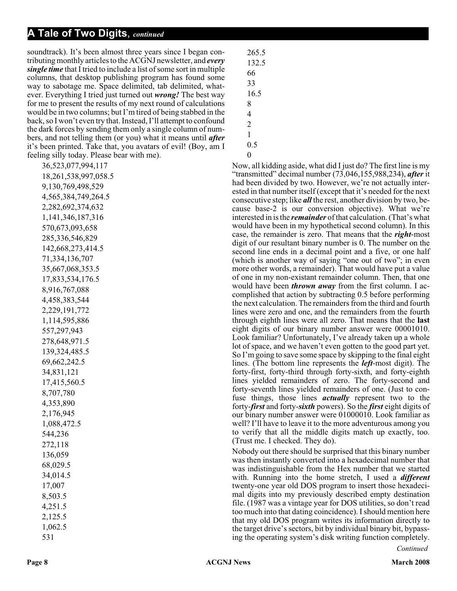soundtrack). It's been almost three years since I began contributing monthly articles to the ACGNJ newsletter, and *every single time* that I tried to include a list of some sort in multiple columns, that desktop publishing program has found some way to sabotage me. Space delimited, tab delimited, whatever. Everything I tried just turned out *wrong!* The best way for me to present the results of my next round of calculations would be in two columns; but I'm tired of being stabbed in the back, so I won't even try that. Instead, I'll attempt to confound the dark forces by sending them only a single column of numbers, and not telling them (or you) what it means until *after* it's been printed. Take that, you avatars of evil! (Boy, am I feeling silly today. Please bear with me).

36,523,077,994,117 18,261,538,997,058.5 9,130,769,498,529 4,565,384,749,264.5 2,282,692,374,632 1,141,346,187,316 570,673,093,658 285,336,546,829 142,668,273,414.5 71,334,136,707 35,667,068,353.5 17,833,534,176.5 8,916,767,088 4,458,383,544 2,229,191,772 1,114,595,886 557,297,943 278,648,971.5 139,324,485.5 69,662,242.5 34,831,121 17,415,560.5 8,707,780 4,353,890 2,176,945 1,088,472.5 544,236 272,118 136,059 68,029.5 34,014.5 17,007 8,503.5 4,251.5 2,125.5 1,062.5 531

265.5

- 1 0.5
- $\Omega$

Now, all kidding aside, what did I just do? The first line is my "transmitted" decimal number (73,046,155,988,234), *after* it had been divided by two. However, we're not actually interested in that number itself (except that it's needed for the next consecutive step; like *all* the rest, another division by two, because base-2 is our conversion objective). What we're interested in is the *remainder* of that calculation. (That's what would have been in my hypothetical second column). In this case, the remainder is zero. That means that the *right*-most digit of our resultant binary number is 0. The number on the second line ends in a decimal point and a five, or one half (which is another way of saying "one out of two"; in even more other words, a remainder). That would have put a value of one in my non-existant remainder column. Then, that one would have been *thrown away* from the first column. I accomplished that action by subtracting 0.5 before performing the next calculation. The remainders from the third and fourth lines were zero and one, and the remainders from the fourth through eighth lines were all zero. That means that the **last** eight digits of our binary number answer were 00001010. Look familiar? Unfortunately, I've already taken up a whole lot of space, and we haven't even gotten to the good part yet. So I'm going to save some space by skipping to the final eight lines. (The bottom line represents the *left*-most digit). The forty-first, forty-third through forty-sixth, and forty-eighth lines yielded remainders of zero. The forty-second and forty-seventh lines yielded remainders of one. (Just to confuse things, those lines *actually* represent two to the forty-*first* and forty-*sixth* powers). So the *first* eight digits of our binary number answer were 01000010. Look familiar as well? I'll have to leave it to the more adventurous among you to verify that all the middle digits match up exactly, too. (Trust me. I checked. They do).

Nobody out there should be surprised that this binary number was then instantly converted into a hexadecimal number that was indistinguishable from the Hex number that we started with. Running into the home stretch, I used a *different* twenty-one year old DOS program to insert those hexadecimal digits into my previously described empty destination file. (1987 was a vintage year for DOS utilities, so don't read too much into that dating coincidence). I should mention here that my old DOS program writes its information directly to the target drive's sectors, bit by individual binary bit, bypassing the operating system's disk writing function completely.

*Continued*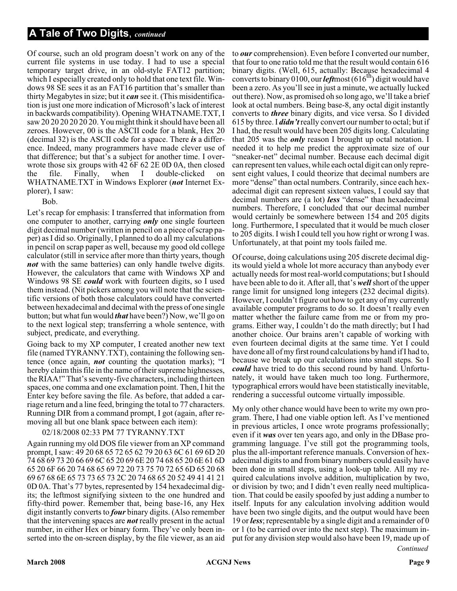Of course, such an old program doesn't work on any of the current file systems in use today. I had to use a special temporary target drive, in an old-style FAT12 partition; which I especially created only to hold that one text file. Windows 98 SE sees it as an FAT16 partition that's smaller than thirty Megabytes in size; but it *can* see it. (This misidentification is just one more indication of Microsoft's lack of interest in backwards compatibility). Opening WHATNAME.TXT, I saw 20 20 20 20 20 20. You might think it should have been all zeroes. However, 00 is the ASCII code for a blank, Hex 20 (decimal 32) is the ASCII code for a space. There *is* a difference. Indeed, many programmers have made clever use of that difference; but that's a subject for another time. I overwrote those six groups with 42 6F 62 2E 0D 0A, then closed the file. Finally, when I double-clicked on WHATNAME.TXT in Windows Explorer (*not* Internet Explorer), I saw:

Bob.

Let's recap for emphasis: I transferred that information from one computer to another, carrying *only* one single fourteen digit decimal number (written in pencil on a piece of scrap paper) as I did so. Originally, I planned to do all my calculations in pencil on scrap paper as well, because my good old college calculator (still in service after more than thirty years, though *not* with the same batteries) can only handle twelve digits. However, the calculators that came with Windows XP and Windows 98 SE *could* work with fourteen digits, so I used them instead. (Nit pickers among you will note that the scientific versions of both those calculators could have converted between hexadecimal and decimal with the press of one single button; but what fun would *that* have been?) Now, we'll go on to the next logical step; transferring a whole sentence, with subject, predicate, and everything.

Going back to my XP computer, I created another new text file (named TYRANNY.TXT), containing the following sentence (once again, *not* counting the quotation marks); "I hereby claim this file in the name of their supreme highnesses, the RIAA!" That's seventy-five characters, including thirteen spaces, one comma and one exclamation point. Then, I hit the Enter key before saving the file. As before, that added a carriage return and a line feed, bringing the total to 77 characters. Running DIR from a command prompt, I got (again, after removing all but one blank space between each item):

#### 02/18/2008 02:33 PM 77 TYRANNY.TXT

Again running my old DOS file viewer from an XP command prompt, I saw: 49 20 68 65 72 65 62 79 20 63 6C 61 69 6D 20 74 68 69 73 20 66 69 6C 65 20 69 6E 20 74 68 65 20 6E 61 6D 65 20 6F 66 20 74 68 65 69 72 20 73 75 70 72 65 6D 65 20 68 69 67 68 6E 65 73 73 65 73 2C 20 74 68 65 20 52 49 41 41 21 0D 0A. That's 77 bytes, represented by 154 hexadecimal digits; the leftmost signifying sixteen to the one hundred and fifty-third power. Remember that, being base-16, any Hex digit instantly converts to *four* binary digits. (Also remember that the intervening spaces are *not* really present in the actual number, in either Hex or binary form. They've only been inserted into the on-screen display, by the file viewer, as an aid

to *our* comprehension). Even before I converted our number, that four to one ratio told me that the result would contain 616 binary digits. (Well, 615, actually: Because hexadecimal 4 converts to binary 0100, our *left*most  $(616<sup>th</sup>)$  digit would have been a zero. As you'll see in just a minute, we actually lucked out there). Now, as promised oh so long ago, we'll take a brief look at octal numbers. Being base-8, any octal digit instantly converts to *three* binary digits, and vice versa. So I divided 615 by three. I *didn't*really convert our number to octal; but if I had, the result would have been 205 digits long. Calculating that 205 was the *only* reason I brought up octal notation. I needed it to help me predict the approximate size of our "sneaker-net" decimal number. Because each decimal digit can represent ten values, while each octal digit can only represent eight values, I could theorize that decimal numbers are more "dense" than octal numbers. Contrarily, since each hexadecimal digit can represent sixteen values, I could say that decimal numbers are (a lot) *less* "dense" than hexadecimal numbers. Therefore, I concluded that our decimal number would certainly be somewhere between 154 and 205 digits long. Furthermore, I speculated that it would be much closer to 205 digits. I wish I could tell you how right or wrong I was. Unfortunately, at that point my tools failed me.

Of course, doing calculations using 205 discrete decimal digits would yield a whole lot more accuracy than anybody ever actually needs for most real-world computations; but I should have been able to do it. After all, that's *well*short of the upper range limit for unsigned long integers (232 decimal digits). However, I couldn't figure out how to get any of my currently available computer programs to do so. It doesn't really even matter whether the failure came from me or from my programs. Either way, I couldn't do the math directly; but I had another choice. Our brains aren't capable of working with even fourteen decimal digits at the same time. Yet I could have done all of my first round calculations by hand if I had to, because we break up our calculations into small steps. So I *could* have tried to do this second round by hand. Unfortunately, it would have taken much too long. Furthermore, typographical errors would have been statistically inevitable, rendering a successful outcome virtually impossible.

My only other chance would have been to write my own program. There, I had one viable option left. As I've mentioned in previous articles, I once wrote programs professionally; even if it *was* over ten years ago, and only in the DBase programming language. I've still got the programming tools, plus the all-important reference manuals. Conversion of hexadecimal digits to and from binary numbers could easily have been done in small steps, using a look-up table. All my required calculations involve addition, multiplication by two, or division by two; and I didn't even really need multiplication. That could be easily spoofed by just adding a number to itself. Inputs for any calculation involving addition would have been two single digits, and the output would have been 19 or *less*; representable by a single digit and a remainder of 0 or 1 (to be carried over into the next step). The maximum input for any division step would also have been 19, made up of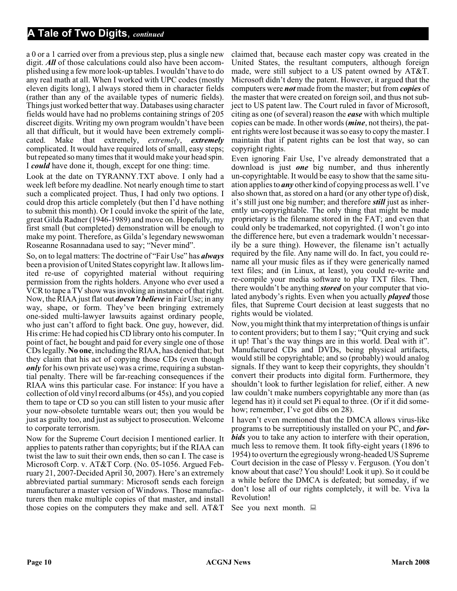a 0 or a 1 carried over from a previous step, plus a single new digit. *All* of those calculations could also have been accomplished using a few more look-up tables. I wouldn't have to do any real math at all. When I worked with UPC codes (mostly eleven digits long), I always stored them in character fields (rather than any of the available types of numeric fields). Things just worked better that way. Databases using character fields would have had no problems containing strings of 205 discreet digits. Writing my own program wouldn't have been all that difficult, but it would have been extremely complicated. Make that extremely, *extremely*, *extremely* complicated. It would have required lots of small, easy steps; but repeated so many times that it would make your head spin. I *could* have done it, though, except for one thing: time.

Look at the date on TYRANNY.TXT above. I only had a week left before my deadline. Not nearly enough time to start such a complicated project. Thus, I had only two options. I could drop this article completely (but then I'd have nothing to submit this month). Or I could invoke the spirit of the late, great Gilda Radner (1946-1989) and move on. Hopefully, my first small (but completed) demonstration will be enough to make my point. Therefore, as Gilda's legendary newswoman Roseanne Rosannadana used to say; "Never mind".

So, on to legal matters: The doctrine of "Fair Use" has *always* been a provision of United States copyright law. It allows limited re-use of copyrighted material without requiring permission from the rights holders. Anyone who ever used a VCR to tape a TV show was invoking an instance of that right. Now, the RIAA just flat out *doesn't believe* in Fair Use; in any way, shape, or form. They've been bringing extremely one-sided multi-lawyer lawsuits against ordinary people, who just can't afford to fight back. One guy, however, did. His crime: He had copied his CD library onto his computer. In point of fact, he bought and paid for every single one of those CDs legally. **No one**, including the RIAA, has denied that; but they claim that his act of copying those CDs (even though *only* for his own private use) was a crime, requiring a substantial penalty. There will be far-reaching consequences if the RIAA wins this particular case. For instance: If you have a collection of old vinyl record albums (or 45s), and you copied them to tape or CD so you can still listen to your music after your now-obsolete turntable wears out; then you would be just as guilty too, and just as subject to prosecution. Welcome to corporate terrorism.

Now for the Supreme Court decision I mentioned earlier. It applies to patents rather than copyrights; but if the RIAA can twist the law to suit their own ends, then so can I. The case is Microsoft Corp. v. AT&T Corp. (No. 05-1056. Argued February 21, 2007-Decided April 30, 2007). Here's an extremely abbreviated partial summary: Microsoft sends each foreign manufacturer a master version of Windows. Those manufacturers then make multiple copies of that master, and install those copies on the computers they make and sell. AT&T

claimed that, because each master copy was created in the United States, the resultant computers, although foreign made, were still subject to a US patent owned by AT&T. Microsoft didn't deny the patent. However, it argued that the computers were *not* made from the master; but from *copies* of the master that were created on foreign soil, and thus not subject to US patent law. The Court ruled in favor of Microsoft, citing as one (of several) reason the *ease* with which multiple copies can be made. In other words (*mine*, not theirs), the patent rights were lost because it was so easy to copy the master. I maintain that if patent rights can be lost that way, so can copyright rights.

Even ignoring Fair Use, I've already demonstrated that a download is just *one* big number, and thus inherently un-copyrightable. It would be easy to show that the same situation applies to *any* other kind of copying process as well. I've also shown that, as stored on a hard (or any other type of) disk, it's still just one big number; and therefore *still* just as inherently un-copyrightable. The only thing that might be made proprietary is the filename stored in the FAT; and even that could only be trademarked, not copyrighted. (I won't go into the difference here, but even a trademark wouldn't necessarily be a sure thing). However, the filename isn't actually required by the file. Any name will do. In fact, you could rename all your music files as if they were generically named text files; and (in Linux, at least), you could re-write and re-compile your media software to play TXT files. Then, there wouldn't be anything *stored* on your computer that violated anybody's rights. Even when you actually *played* those files, that Supreme Court decision at least suggests that no rights would be violated.

Now, you might think that my interpretation of things is unfair to content providers; but to them I say; "Quit crying and suck it up! That's the way things are in this world. Deal with it". Manufactured CDs and DVDs, being physical artifacts, would still be copyrightable; and so (probably) would analog signals. If they want to keep their copyrights, they shouldn't convert their products into digital form. Furthermore, they shouldn't look to further legislation for relief, either. A new law couldn't make numbers copyrightable any more than (as legend has it) it could set Pi equal to three. (Or if it did somehow; remember, I've got dibs on 28).

I haven't even mentioned that the DMCA allows virus-like programs to be surreptitiously installed on your PC, and *forbids* you to take any action to interfere with their operation, much less to remove them. It took fifty-eight years (1896 to 1954) to overturn the egregiously wrong-headed US Supreme Court decision in the case of Plessy v. Ferguson. (You don't know about that case? You should! Look it up). So it could be a while before the DMCA is defeated; but someday, if we don't lose all of our rights completely, it will be. Viva la Revolution!

See you next month.  $\Box$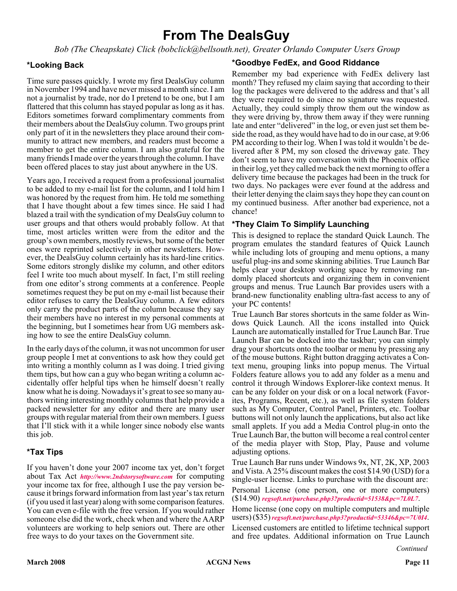### **From The DealsGuy**

*Bob (The Cheapskate) Click (bobclick@bellsouth.net), Greater Orlando Computer Users Group*

#### **\*Looking Back**

Time sure passes quickly. I wrote my first DealsGuy column in November 1994 and have never missed a month since. I am not a journalist by trade, nor do I pretend to be one, but I am flattered that this column has stayed popular as long as it has. Editors sometimes forward complimentary comments from their members about the DealsGuy column. Two groups print only part of it in the newsletters they place around their community to attract new members, and readers must become a member to get the entire column. I am also grateful for the many friends I made over the years through the column. I have been offered places to stay just about anywhere in the US.

Years ago, I received a request from a professional journalist to be added to my e-mail list for the column, and I told him I was honored by the request from him. He told me something that I have thought about a few times since. He said I had blazed a trail with the syndication of my DealsGuy column to user groups and that others would probably follow. At that time, most articles written were from the editor and the group's own members, mostly reviews, but some of the better ones were reprinted selectively in other newsletters. However, the DealsGuy column certainly has its hard-line critics. Some editors strongly dislike my column, and other editors feel I write too much about myself. In fact, I'm still reeling from one editor's strong comments at a conference. People sometimes request they be put on my e-mail list because their editor refuses to carry the DealsGuy column. A few editors only carry the product parts of the column because they say their members have no interest in my personal comments at the beginning, but I sometimes hear from UG members asking how to see the entire DealsGuy column.

In the early days of the column, it was not uncommon for user group people I met at conventions to ask how they could get into writing a monthly column as I was doing. I tried giving them tips, but how can a guy who began writing a column accidentally offer helpful tips when he himself doesn't really know what he is doing. Nowadays it's great to see so many authors writing interesting monthly columns that help provide a packed newsletter for any editor and there are many user groups with regular material from their own members. I guess that I'll stick with it a while longer since nobody else wants this job.

#### **\*Tax Tips**

If you haven't done your 2007 income tax yet, don't forget about Tax Act *<http://www.2ndstorysoftware.com>* for computing your income tax for free, although I use the pay version because it brings forward information from last year's tax return (if you used it last year) along with some comparison features. You can even e-file with the free version. If you would rather someone else did the work, check when and where the AARP volunteers are working to help seniors out. There are other free ways to do your taxes on the Government site.

#### **\*Goodbye FedEx, and Good Riddance**

Remember my bad experience with FedEx delivery last month? They refused my claim saying that according to their log the packages were delivered to the address and that's all they were required to do since no signature was requested. Actually, they could simply throw them out the window as they were driving by, throw them away if they were running late and enter "delivered" in the log, or even just set them beside the road, as they would have had to do in our case, at 9:06 PM according to their log. When I was told it wouldn't be delivered after 8 PM, my son closed the driveway gate. They don't seem to have my conversation with the Phoenix office in their log, yet they called me back the next morning to offer a delivery time because the packages had been in the truck for two days. No packages were ever found at the address and their letter denying the claim says they hope they can count on my continued business. After another bad experience, not a chance!

#### **\*They Claim To Simplify Launching**

This is designed to replace the standard Quick Launch. The program emulates the standard features of Quick Launch while including lots of grouping and menu options, a many useful plug-ins and some skinning abilities. True Launch Bar helps clear your desktop working space by removing randomly placed shortcuts and organizing them in convenient groups and menus. True Launch Bar provides users with a brand-new functionality enabling ultra-fast access to any of your PC contents!

True Launch Bar stores shortcuts in the same folder as Windows Quick Launch. All the icons installed into Quick Launch are automatically installed for True Launch Bar. True Launch Bar can be docked into the taskbar; you can simply drag your shortcuts onto the toolbar or menu by pressing any of the mouse buttons. Right button dragging activates a Context menu, grouping links into popup menus. The Virtual Folders feature allows you to add any folder as a menu and control it through Windows Explorer-like context menus. It can be any folder on your disk or on a local network (Favorites, Programs, Recent, etc.), as well as file system folders such as My Computer, Control Panel, Printers, etc. Toolbar buttons will not only launch the applications, but also act like small applets. If you add a Media Control plug-in onto the True Launch Bar, the button will become a real control center of the media player with Stop, Play, Pause and volume adjusting options.

True Launch Bar runs under Windows 9x, NT, 2K, XP, 2003 and Vista. A 25% discount makes the cost \$14.90 (USD) for a single-user license. Links to purchase with the discount are: Personal License (one person, one or more computers) (\$14.90) *[regsoft.net/purchase.php3?productid=51538&pc=7L0L7](http://www.regsoft.net/purchase.php3?productid=51538&pc=7L0L7)*.

Home license (one copy on multiple computers and multiple users) (\$35)*[regsoft.net/purchase.php3?productid=53346&pc=7U0I4](http://www.regsoft.net/purchase.php3?productid=53346&pc=7U0I4)*. Licensed customers are entitled to lifetime technical support and free updates. Additional information on True Launch

*Continued*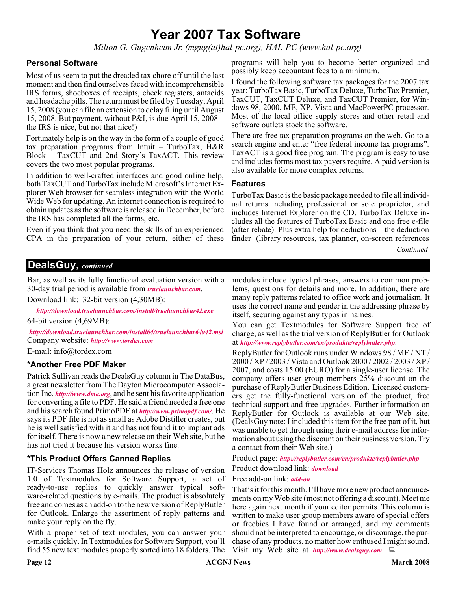### **Year 2007 Tax Software**

*Milton G. Gugenheim Jr. (mgug(at)hal-pc.org), HAL-PC (www.hal-pc.org)*

#### **Personal Software**

Most of us seem to put the dreaded tax chore off until the last moment and then find ourselves faced with incomprehensible IRS forms, shoeboxes of receipts, check registers, antacids and headache pills. The return must be filed by Tuesday, April 15, 2008 (you can file an extension to delay filing until August 15, 2008. But payment, without P&I, is due April 15, 2008 – the IRS is nice, but not that nice!)

Fortunately help is on the way in the form of a couple of good tax preparation programs from Intuit – TurboTax, H&R Block – TaxCUT and 2nd Story's TaxACT. This review covers the two most popular programs.

In addition to well-crafted interfaces and good online help, both TaxCUT and TurboTax include Microsoft's Internet Explorer Web browser for seamless integration with the World Wide Web for updating. An internet connection is required to obtain updates as the software is released in December, before the IRS has completed all the forms, etc.

Even if you think that you need the skills of an experienced CPA in the preparation of your return, either of these programs will help you to become better organized and possibly keep accountant fees to a minimum.

I found the following software tax packages for the 2007 tax year: TurboTax Basic, TurboTax Deluxe, TurboTax Premier, TaxCUT, TaxCUT Deluxe, and TaxCUT Premier, for Windows 98, 2000, ME, XP. Vista and MacPowerPC processor. Most of the local office supply stores and other retail and software outlets stock the software.

There are free tax preparation programs on the web. Go to a search engine and enter "free federal income tax programs". TaxACT is a good free program. The program is easy to use and includes forms most tax payers require. A paid version is also available for more complex returns.

#### **Features**

TurboTax Basic is the basic package needed to file all individual returns including professional or sole proprietor, and includes Internet Explorer on the CD. TurboTax Deluxe includes all the features of TurboTax Basic and one free e-file (after rebate). Plus extra help for deductions – the deduction finder (library resources, tax planner, on-screen references

*Continued*

#### **DealsGuy,** *continued*

30-day trial period is available from *[truelaunchbar.com](http://www.truelaunchbar.com)*.

Download link: 32-bit version (4,30MB):

*<http://download.truelaunchbar.com/install/truelaunchbar42.exe>* 64-bit version (4,69MB):

*<http://download.truelaunchbar.com/install64/truelaunchbar64v42.msi>* Company website: *<http://www.tordex.com>*

E-mail: info@tordex.com

#### **\*Another Free PDF Maker**

Patrick Sullivan reads the DealsGuy column in The DataBus, a great newsletter from The Dayton Microcomputer Association Inc. *<http://www.dma.org>*, and he sent his favorite application for converting a file to PDF. He said a friend needed a free one and his search found PrimoPDF at *<http://www.primopdf.com/>*. He says its PDF file is not as small as Adobe Distiller creates, but he is well satisfied with it and has not found it to implant ads for itself. There is now a new release on their Web site, but he has not tried it because his version works fine.

#### **\*This Product Offers Canned Replies**

IT-Services Thomas Holz announces the release of version 1.0 of Textmodules for Software Support, a set of ready-to-use replies to quickly answer typical software-related questions by e-mails. The product is absolutely free and comes as an add-on to the new version of ReplyButler for Outlook. Enlarge the assortment of reply patterns and make your reply on the fly.

With a proper set of text modules, you can answer your e-mails quickly. In Textmodules for Software Support, you'll find 55 new text modules properly sorted into 18 folders. The

Bar, as well as its fully functional evaluation version with a modules include typical phrases, answers to common problems, questions for details and more. In addition, there are many reply patterns related to office work and journalism. It uses the correct name and gender in the addressing phrase by itself, securing against any typos in names.

> You can get Textmodules for Software Support free of charge, as well as the trial version of ReplyButler for Outlook at *<http://www.replybutler.com/en/produkte/replybutler.php>*.

> ReplyButler for Outlook runs under Windows 98 / ME / NT / 2000 / XP / 2003 / Vista and Outlook 2000 / 2002 / 2003 / XP / 2007, and costs 15.00 (EURO) for a single-user license. The company offers user group members 25% discount on the purchase of ReplyButler Business Edition. Licensed customers get the fully-functional version of the product, free technical support and free upgrades. Further information on ReplyButler for Outlook is available at our Web site. (DealsGuy note: I included this item for the free part of it, but was unable to get through using their e-mail address for information about using the discount on their business version. Try a contact from their Web site.)

Product page: *<http://replybutler.com/en/produkte/replybutler.php>*

Product download link: *[download](http://replybutler.com/download/getfile.php?file=ReplyButlerE_Freeware.exe)*

Free add-on link: *[add-on](http://replybutler.com/download/getfile.php?file=ReplyButler_TextLib_SoftwareSupport.exe)*

That's it for this month. I'll have more new product announcements on my Web site (most not offering a discount). Meet me here again next month if your editor permits. This column is written to make user group members aware of special offers or freebies I have found or arranged, and my comments should not be interpreted to encourage, or discourage, the purchase of any products, no matter how enthused I might sound. Visit my Web site at *<http://www.dealsguy.com>*.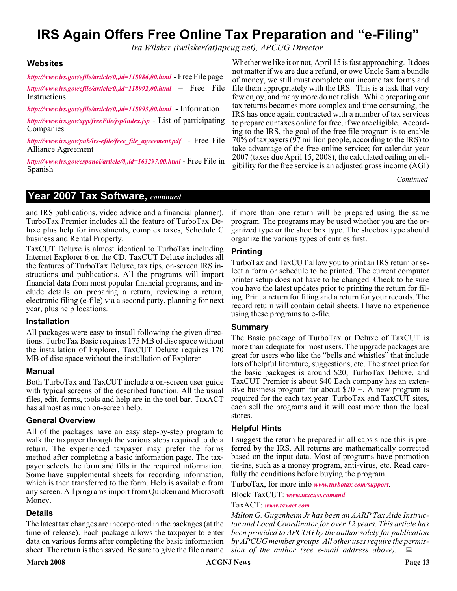### **IRS Again Offers Free Online Tax Preparation and "e-Filing"**

*Ira Wilsker (iwilsker(at)apcug.net), APCUG Director*

#### **Websites**

*<http://www.irs.gov/efile/article/0,,id=118986,00.html>* - Free File page

*<http://www.irs.gov/efile/article/0,,id=118992,00.html>* – Free File **Instructions** 

*<http://www.irs.gov/efile/article/0,,id=118993,00.html>* - Information

*<http://www.irs.gov/app/freeFile/jsp/index.jsp>* - List of participating Companies

*[http://www.irs.gov/pub/irs-efile/free\\_file\\_agreement.pdf](http://www.irs.gov/pub/irs-efile/free_file_agreement.pdf)* - Free File Alliance Agreement

*<http://www.irs.gov/espanol/article/0,,id=163297,00.html>* - Free File in Spanish

Whether we like it or not, April 15 is fast approaching. It does not matter if we are due a refund, or owe Uncle Sam a bundle of money, we still must complete our income tax forms and file them appropriately with the IRS. This is a task that very few enjoy, and many more do not relish. While preparing our tax returns becomes more complex and time consuming, the IRS has once again contracted with a number of tax services to prepare our taxes online for free, if we are eligible. According to the IRS, the goal of the free file program is to enable 70% of taxpayers (97 million people, according to the IRS) to take advantage of the free online service; for calendar year 2007 (taxes due April 15, 2008), the calculated ceiling on eligibility for the free service is an adjusted gross income (AGI)

*Continued*

#### **Year 2007 Tax Software,** *continued*

and IRS publications, video advice and a financial planner). TurboTax Premier includes all the feature of TurboTax Deluxe plus help for investments, complex taxes, Schedule C business and Rental Property.

TaxCUT Deluxe is almost identical to TurboTax including Internet Explorer 6 on the CD. TaxCUT Deluxe includes all the features of TurboTax Deluxe, tax tips, on-screen IRS instructions and publications. All the programs will import financial data from most popular financial programs, and include details on preparing a return, reviewing a return, electronic filing (e-file) via a second party, planning for next year, plus help locations.

#### **Installation**

All packages were easy to install following the given directions. TurboTax Basic requires 175 MB of disc space without the installation of Explorer. TaxCUT Deluxe requires 170 MB of disc space without the installation of Explorer

#### **Manual**

Both TurboTax and TaxCUT include a on-screen user guide with typical screens of the described function. All the usual files, edit, forms, tools and help are in the tool bar. TaxACT has almost as much on-screen help.

#### **General Overview**

All of the packages have an easy step-by-step program to walk the taxpayer through the various steps required to do a return. The experienced taxpayer may prefer the forms method after completing a basic information page. The taxpayer selects the form and fills in the required information. Some have supplemental sheets for recording information, which is then transferred to the form. Help is available from any screen. All programs import from Quicken and Microsoft Money.

#### **Details**

The latest tax changes are incorporated in the packages (at the time of release). Each package allows the taxpayer to enter data on various forms after completing the basic information sheet. The return is then saved. Be sure to give the file a name

if more than one return will be prepared using the same program. The programs may be used whether you are the organized type or the shoe box type. The shoebox type should organize the various types of entries first.

#### **Printing**

TurboTax and TaxCUT allow you to print an IRS return or select a form or schedule to be printed. The current computer printer setup does not have to be changed. Check to be sure you have the latest updates prior to printing the return for filing. Print a return for filing and a return for your records. The record return will contain detail sheets. I have no experience using these programs to e-file.

#### **Summary**

The Basic package of TurboTax or Deluxe of TaxCUT is more than adequate for most users. The upgrade packages are great for users who like the "bells and whistles" that include lots of helpful literature, suggestions, etc. The street price for the basic packages is around \$20, TurboTax Deluxe, and TaxCUT Premier is about \$40 Each company has an extensive business program for about  $\$70 +$ . A new program is required for the each tax year. TurboTax and TaxCUT sites, each sell the programs and it will cost more than the local stores.

#### **Helpful Hints**

I suggest the return be prepared in all caps since this is preferred by the IRS. All returns are mathematically corrected based on the input data. Most of programs have promotion tie-ins, such as a money program, anti-virus, etc. Read carefully the conditions before buying the program.

TurboTax, for more info *[www.turbotax.com/support](http://www.turbotax.com/support)*.

Block TaxCUT: *[www.taxcust.comand](http://www.taxcust.comand)*

TaxACT: *[www.taxact.com](http://www.taxact.com)*

*Milton G. Gugenheim Jr has been an AARP Tax Aide Instructor and Local Coordinator for over 12 years. This article has been provided to APCUG by the author solely for publication by APCUG member groups. All other uses require the permission of the author (see e-mail address above).*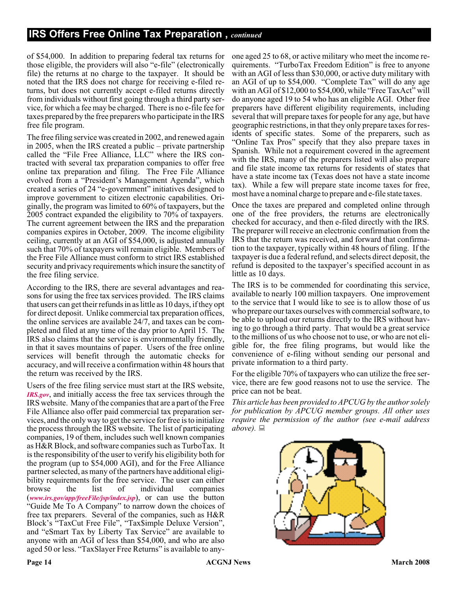of \$54,000. In addition to preparing federal tax returns for those eligible, the providers will also "e-file" (electronically file) the returns at no charge to the taxpayer. It should be noted that the IRS does not charge for receiving e-filed returns, but does not currently accept e-filed returns directly from individuals without first going through a third party service, for which a fee may be charged. There is no e-file fee for taxes prepared by the free preparers who participate in the IRS free file program.

The free filing service was created in 2002, and renewed again in 2005, when the IRS created a public – private partnership called the "File Free Alliance, LLC" where the IRS contracted with several tax preparation companies to offer free online tax preparation and filing. The Free File Alliance evolved from a "President's Management Agenda", which created a series of 24 "e-government" initiatives designed to improve government to citizen electronic capabilities. Originally, the program was limited to 60% of taxpayers, but the 2005 contract expanded the eligibility to 70% of taxpayers. The current agreement between the IRS and the preparation companies expires in October, 2009. The income eligibility ceiling, currently at an AGI of \$54,000, is adjusted annually such that 70% of taxpayers will remain eligible. Members of the Free File Alliance must conform to strict IRS established security and privacy requirements which insure the sanctity of the free filing service.

According to the IRS, there are several advantages and reasons for using the free tax services provided. The IRS claims that users can get their refunds in as little as 10 days, if they opt for direct deposit. Unlike commercial tax preparation offices, the online services are available 24/7, and taxes can be completed and filed at any time of the day prior to April 15. The IRS also claims that the service is environmentally friendly, in that it saves mountains of paper. Users of the free online services will benefit through the automatic checks for accuracy, and will receive a confirmation within 48 hours that the return was received by the IRS.

Users of the free filing service must start at the IRS website, *[IRS.gov](http://IRS.gov)*, and initially access the free tax services through the IRS website. Many of the companies that are a part of the Free File Alliance also offer paid commercial tax preparation services, and the only way to get the service for free is to initialize the process through the IRS website. The list of participating companies, 19 of them, includes such well known companies as H&R Block, and software companies such as TurboTax. It is the responsibility of the user to verify his eligibility both for the program (up to \$54,000 AGI), and for the Free Alliance partner selected, as many of the partners have additional eligibility requirements for the free service. The user can either<br>browse the list of individual companies browse the list of individual companies (*[www.irs.gov/app/freeFile/jsp/index.jsp](http://www.irs.gov/app/freeFile/jsp/index.jsp)*), or can use the button "Guide Me To A Company" to narrow down the choices of free tax preparers. Several of the companies, such as H&R Block's "TaxCut Free File", "Tax\$imple Deluxe Version", and "eSmart Tax by Liberty Tax Service" are available to anyone with an AGI of less than \$54,000, and who are also aged 50 or less. "TaxSlayer Free Returns" is available to any-

one aged 25 to 68, or active military who meet the income requirements. "TurboTax Freedom Edition" is free to anyone with an AGI of less than \$30,000, or active duty military with an AGI of up to \$54,000. "Complete Tax" will do any age with an AGI of \$12,000 to \$54,000, while "Free TaxAct" will do anyone aged 19 to 54 who has an eligible AGI. Other free preparers have different eligibility requirements, including several that will prepare taxes for people for any age, but have geographic restrictions, in that they only prepare taxes for residents of specific states. Some of the preparers, such as "Online Tax Pros" specify that they also prepare taxes in Spanish. While not a requirement covered in the agreement with the IRS, many of the preparers listed will also prepare and file state income tax returns for residents of states that have a state income tax (Texas does not have a state income tax). While a few will prepare state income taxes for free, most have a nominal charge to prepare and e-file state taxes.

Once the taxes are prepared and completed online through one of the free providers, the returns are electronically checked for accuracy, and then e-filed directly with the IRS. The preparer will receive an electronic confirmation from the IRS that the return was received, and forward that confirmation to the taxpayer, typically within 48 hours of filing. If the taxpayer is due a federal refund, and selects direct deposit, the refund is deposited to the taxpayer's specified account in as little as 10 days.

The IRS is to be commended for coordinating this service, available to nearly 100 million taxpayers. One improvement to the service that I would like to see is to allow those of us who prepare our taxes ourselves with commercial software, to be able to upload our returns directly to the IRS without having to go through a third party. That would be a great service to the millions of us who choose not to use, or who are not eligible for, the free filing programs, but would like the convenience of e-filing without sending our personal and private information to a third party.

For the eligible 70% of taxpayers who can utilize the free service, there are few good reasons not to use the service. The price can not be beat.

*This article has been provided to APCUG by the author solely for publication by APCUG member groups. All other uses require the permission of the author (see e-mail address above).*

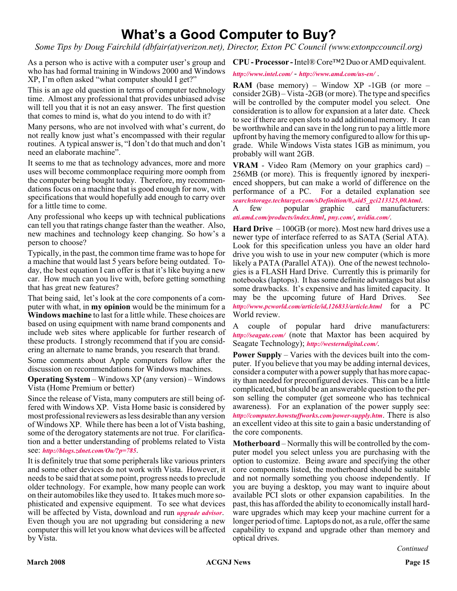### **What's a Good Computer to Buy?**

*Some Tips by Doug Fairchild (dbfair(at)verizon.net), Director, Exton PC Council (www.extonpccouncil.org)*

As a person who is active with a computer user's group and **CPU - Processor -**Intel® Core™2 Duo or AMD equivalent. who has had formal training in Windows 2000 and Windows XP, I'm often asked "what computer should I get?"

This is an age old question in terms of computer technology time. Almost any professional that provides unbiased advise will tell you that it is not an easy answer. The first question that comes to mind is, what do you intend to do with it?

Many persons, who are not involved with what's current, do not really know just what's encompassed with their regular routines. A typical answer is, "I don't do that much and don't need an elaborate machine".

It seems to me that as technology advances, more and more uses will become commonplace requiring more oomph from the computer being bought today. Therefore, my recommendations focus on a machine that is good enough for now, with specifications that would hopefully add enough to carry over for a little time to come.

Any professional who keeps up with technical publications can tell you that ratings change faster than the weather. Also, new machines and technology keep changing. So how's a person to choose?

Typically, in the past, the common time frame was to hope for a machine that would last 5 years before being outdated. Today, the best equation I can offer is that it's like buying a new car. How much can you live with, before getting something that has great new features?

That being said, let's look at the core components of a computer with what, in **my opinion** would be the minimum for a **Windows machine** to last for a little while. These choices are based on using equipment with name brand components and include web sites where applicable for further research of these products. I strongly recommend that if you are considering an alternate to name brands, you research that brand.

Some comments about Apple computers follow after the discussion on recommendations for Windows machines.

**Operating System** – Windows XP (any version) – Windows Vista (Home Premium or better)

Since the release of Vista, many computers are still being offered with Windows XP. Vista Home basic is considered by most professional reviewers as less desirable than any version of Windows XP. While there has been a lot of Vista bashing, some of the derogatory statements are not true. For clarification and a better understanding of problems related to Vista see: *<http://blogs.zdnet.com/Ou/?p=785>*.

It is definitely true that some peripherals like various printers and some other devices do not work with Vista. However, it needs to be said that at some point, progress needs to preclude older technology. For example, how many people can work on their automobiles like they used to. It takes much more sophisticated and expensive equipment. To see what devices will be affected by Vista, download and run *[upgrade advisor](http://www.microsoft.com/windows/products/windowsvista/buyorupgrade/upgradeadvisor.mspx)*. Even though you are not upgrading but considering a new computer this will let you know what devices will be affected by Vista.

*<http://www.intel.com/>* - *<http://www.amd.com/us-en/>* .

**RAM** (base memory) – Window XP -1GB (or more – consider 2GB) – Vista -2GB (or more). The type and specifics will be controlled by the computer model you select. One consideration is to allow for expansion at a later date. Check to see if there are open slots to add additional memory. It can be worthwhile and can save in the long run to pay a little more upfront by having the memory configured to allow for this upgrade. While Windows Vista states 1GB as minimum, you probably will want 2GB.

**VRAM** - Video Ram (Memory on your graphics card) – 256MB (or more). This is frequently ignored by inexperienced shoppers, but can make a world of difference on the performance of a PC. For a detailed explanation see *[searchstorage.techtarget.com/sDefinition/0,,sid5\\_gci213325,00.html](http://searchstorage.techtarget.com/sDefinition/0,,sid5_gci213325,00.html)*.

A few popular graphic card manufacturers: *[ati.amd.com/products/index.html](http://ati.amd.com/products/index.html)*, *[pny.com/](http://pny.com/)*, *[nvidia.com/](http://nvidia.com/)*.

**Hard Drive** – 100GB (or more). Most new hard drives use a newer type of interface referred to as SATA (Serial ATA). Look for this specification unless you have an older hard drive you wish to use in your new computer (which is more likely a PATA (Parallel ATA)). One of the newest technologies is a FLASH Hard Drive. Currently this is primarily for notebooks (laptops). It has some definite advantages but also some drawbacks. It's expensive and has limited capacity. It may be the upcoming future of Hard Drives. See *<http://www.pcworld.com/article/id,126833/article.html>* for a PC World review.

A couple of popular hard drive manufacturers: *<http://seagate.com/>* (note that Maxtor has been acquired by Seagate Technology); *<http://westerndigital.com/>*.

**Power Supply** – Varies with the devices built into the computer. If you believe that you may be adding internal devices, consider a computer with a power supply that has more capacity than needed for preconfigured devices. This can be a little complicated, but should be an answerable question to the person selling the computer (get someone who has technical awareness). For an explanation of the power supply see: *<http://computer.howstuffworks.com/power-supply.htm>*. There is also an excellent video at this site to gain a basic understanding of the core components.

**Motherboard** – Normally this will be controlled by the computer model you select unless you are purchasing with the option to customize. Being aware and specifying the other core components listed, the motherboard should be suitable and not normally something you choose independently. If you are buying a desktop, you may want to inquire about available PCI slots or other expansion capabilities. In the past, this has afforded the ability to economically install hardware upgrades which may keep your machine current for a longer period of time. Laptops do not, as a rule, offer the same capability to expand and upgrade other than memory and optical drives.

*Continued*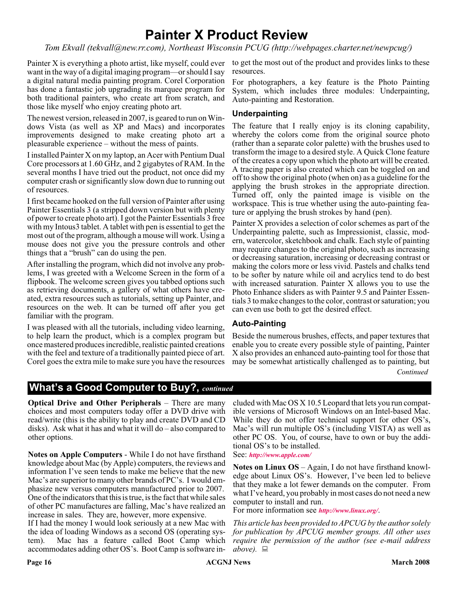### **Painter X Product Review**

*Tom Ekvall (tekvall@new.rr.com), Northeast Wisconsin PCUG (http://webpages.charter.net/newpcug/)*

Painter X is everything a photo artist, like myself, could ever want in the way of a digital imaging program—or should I say a digital natural media painting program. Corel Corporation has done a fantastic job upgrading its marquee program for both traditional painters, who create art from scratch, and those like myself who enjoy creating photo art.

The newest version, released in 2007, is geared to run on Windows Vista (as well as XP and Macs) and incorporates improvements designed to make creating photo art a pleasurable experience – without the mess of paints.

I installed Painter X on my laptop, an Acer with Pentium Dual Core processors at 1.60 GHz, and 2 gigabytes of RAM. In the several months I have tried out the product, not once did my computer crash or significantly slow down due to running out of resources.

I first became hooked on the full version of Painter after using Painter Essentials 3 (a stripped down version but with plenty of power to create photo art). I got the Painter Essentials 3 free with my Intous3 tablet. A tablet with pen is essential to get the most out of the program, although a mouse will work. Using a mouse does not give you the pressure controls and other things that a "brush" can do using the pen.

After installing the program, which did not involve any problems, I was greeted with a Welcome Screen in the form of a flipbook. The welcome screen gives you tabbed options such as retrieving documents, a gallery of what others have created, extra resources such as tutorials, setting up Painter, and resources on the web. It can be turned off after you get familiar with the program.

I was pleased with all the tutorials, including video learning, to help learn the product, which is a complex program but once mastered produces incredible, realistic painted creations with the feel and texture of a traditionally painted piece of art. Corel goes the extra mile to make sure you have the resources

to get the most out of the product and provides links to these resources.

For photographers, a key feature is the Photo Painting System, which includes three modules: Underpainting, Auto-painting and Restoration.

#### **Underpainting**

The feature that I really enjoy is its cloning capability, whereby the colors come from the original source photo (rather than a separate color palette) with the brushes used to transform the image to a desired style. A Quick Clone feature of the creates a copy upon which the photo art will be created. A tracing paper is also created which can be toggled on and off to show the original photo (when on) as a guideline for the applying the brush strokes in the appropriate direction. Turned off, only the painted image is visible on the workspace. This is true whether using the auto-painting feature or applying the brush strokes by hand (pen).

Painter X provides a selection of color schemes as part of the Underpainting palette, such as Impressionist, classic, modern, watercolor, sketchbook and chalk. Each style of painting may require changes to the original photo, such as increasing or decreasing saturation, increasing or decreasing contrast or making the colors more or less vivid. Pastels and chalks tend to be softer by nature while oil and acrylics tend to do best with increased saturation. Painter X allows you to use the Photo Enhance sliders as with Painter 9.5 and Painter Essentials 3 to make changes to the color, contrast or saturation; you can even use both to get the desired effect.

#### **Auto-Painting**

Beside the numerous brushes, effects, and paper textures that enable you to create every possible style of painting, Painter X also provides an enhanced auto-painting tool for those that may be somewhat artistically challenged as to painting, but

*Continued*

#### **What's a Good Computer to Buy?,** *continued*

**Optical Drive and Other Peripherals** – There are many choices and most computers today offer a DVD drive with read/write (this is the ability to play and create DVD and CD disks). Ask what it has and what it will do – also compared to other options.

**Notes on Apple Computers** - While I do not have firsthand knowledge about Mac (by Apple) computers, the reviews and information I've seen tends to make me believe that the new Mac's are superior to many other brands of PC's. I would emphasize new versus computers manufactured prior to 2007. One of the indicators that this is true, is the fact that while sales of other PC manufactures are falling, Mac's have realized an increase in sales. They are, however, more expensive.

If I had the money I would look seriously at a new Mac with the idea of loading Windows as a second OS (operating system). Mac has a feature called Boot Camp which accommodates adding other OS's. Boot Camp is software in-

cluded with Mac OS X 10.5 Leopard that lets you run compatible versions of Microsoft Windows on an Intel-based Mac. While they do not offer technical support for other OS's, Mac's will run multiple OS's (including VISTA) as well as other PC OS. You, of course, have to own or buy the additional OS's to be installed.

See: *<http://www.apple.com/>*

**Notes on Linux OS** – Again, I do not have firsthand knowledge about Linux OS's. However, I've been led to believe that they make a lot fewer demands on the computer. From what I've heard, you probably in most cases do not need a new computer to install and run.

For more information see *<http://www.linux.org/>*.

*This article has been provided to APCUG by the author solely for publication by APCUG member groups. All other uses require the permission of the author (see e-mail address above*). ■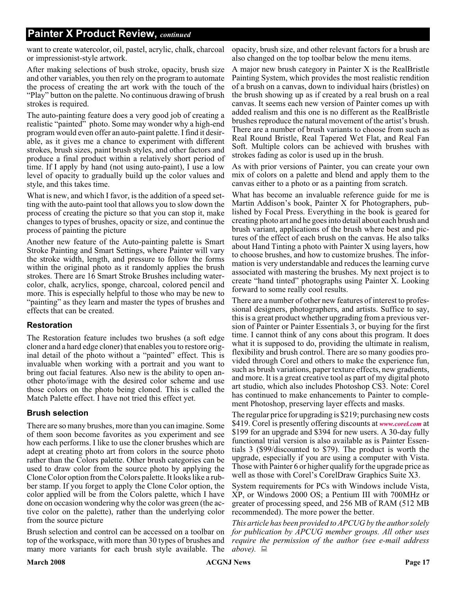#### **Painter X Product Review,** *continued*

want to create watercolor, oil, pastel, acrylic, chalk, charcoal or impressionist-style artwork.

After making selections of bush stroke, opacity, brush size and other variables, you then rely on the program to automate the process of creating the art work with the touch of the "Play" button on the palette. No continuous drawing of brush strokes is required.

The auto-painting feature does a very good job of creating a realistic "painted" photo. Some may wonder why a high-end program would even offer an auto-paint palette. I find it desirable, as it gives me a chance to experiment with different strokes, brush sizes, paint brush styles, and other factors and produce a final product within a relatively short period of time. If I apply by hand (not using auto-paint), I use a low level of opacity to gradually build up the color values and style, and this takes time.

What is new, and which I favor, is the addition of a speed setting with the auto-paint tool that allows you to slow down the process of creating the picture so that you can stop it, make changes to types of brushes, opacity or size, and continue the process of painting the picture

Another new feature of the Auto-painting palette is Smart Stroke Painting and Smart Settings, where Painter will vary the stroke width, length, and pressure to follow the forms within the original photo as it randomly applies the brush strokes. There are 16 Smart Stroke Brushes including watercolor, chalk, acrylics, sponge, charcoal, colored pencil and more. This is especially helpful to those who may be new to "painting" as they learn and master the types of brushes and effects that can be created.

#### **Restoration**

The Restoration feature includes two brushes (a soft edge cloner and a hard edge cloner) that enables you to restore original detail of the photo without a "painted" effect. This is invaluable when working with a portrait and you want to bring out facial features. Also new is the ability to open another photo/image with the desired color scheme and use those colors on the photo being cloned. This is called the Match Palette effect. I have not tried this effect yet.

#### **Brush selection**

There are so many brushes, more than you can imagine. Some of them soon become favorites as you experiment and see how each performs. I like to use the cloner brushes which are adept at creating photo art from colors in the source photo rather than the Colors palette. Other brush categories can be used to draw color from the source photo by applying the Clone Color option from the Colors palette. It looks like a rubber stamp. If you forget to apply the Clone Color option, the color applied will be from the Colors palette, which I have done on occasion wondering why the color was green (the active color on the palette), rather than the underlying color from the source picture

Brush selection and control can be accessed on a toolbar on top of the workspace, with more than 30 types of brushes and many more variants for each brush style available. The

opacity, brush size, and other relevant factors for a brush are also changed on the top toolbar below the menu items.

A major new brush category in Painter X is the RealBristle Painting System, which provides the most realistic rendition of a brush on a canvas, down to individual hairs (bristles) on the brush showing up as if created by a real brush on a real canvas. It seems each new version of Painter comes up with added realism and this one is no different as the RealBristle brushes reproduce the natural movement of the artist's brush. There are a number of brush variants to choose from such as Real Round Bristle, Real Tapered Wet Flat, and Real Fan Soft. Multiple colors can be achieved with brushes with strokes fading as color is used up in the brush.

As with prior versions of Painter, you can create your own mix of colors on a palette and blend and apply them to the canvas either to a photo or as a painting from scratch.

What has become an invaluable reference guide for me is Martin Addison's book, Painter X for Photographers, published by Focal Press. Everything in the book is geared for creating photo art and he goes into detail about each brush and brush variant, applications of the brush where best and pictures of the effect of each brush on the canvas. He also talks about Hand Tinting a photo with Painter X using layers, how to choose brushes, and how to customize brushes. The information is very understandable and reduces the learning curve associated with mastering the brushes. My next project is to create "hand tinted" photographs using Painter X. Looking forward to some really cool results.

There are a number of other new features of interest to professional designers, photographers, and artists. Suffice to say, this is a great product whether upgrading from a previous version of Painter or Painter Essentials 3, or buying for the first time. I cannot think of any cons about this program. It does what it is supposed to do, providing the ultimate in realism, flexibility and brush control. There are so many goodies provided through Corel and others to make the experience fun, such as brush variations, paper texture effects, new gradients, and more. It is a great creative tool as part of my digital photo art studio, which also includes Photoshop CS3. Note: Corel has continued to make enhancements to Painter to complement Photoshop, preserving layer effects and masks.

The regular price for upgrading is \$219; purchasing new costs \$419. Corel is presently offering discounts at *[www.corel.com](http://www.corel.com)* at \$199 for an upgrade and \$394 for new users. A 30-day fully functional trial version is also available as is Painter Essentials 3 (\$99/discounted to \$79). The product is worth the upgrade, especially if you are using a computer with Vista. Those with Painter 6 or higher qualify for the upgrade price as well as those with Corel's CorelDraw Graphics Suite X3.

System requirements for PCs with Windows include Vista, XP, or Windows 2000 OS; a Pentium III with 700MHz or greater of processing speed, and 256 MB of RAM (512 MB recommended). The more power the better.

*This article has been provided to APCUG by the author solely for publication by APCUG member groups. All other uses require the permission of the author (see e-mail address above).*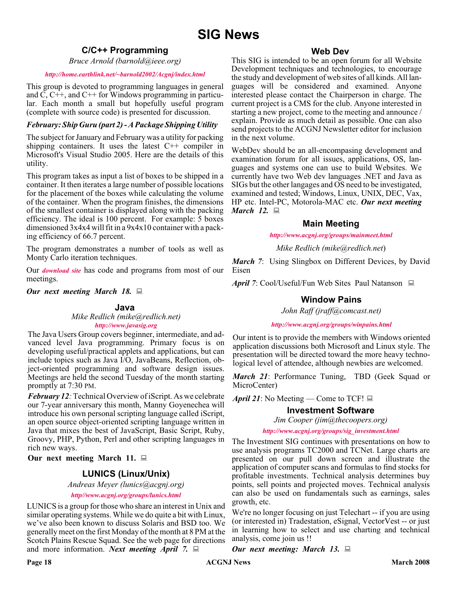### **SIG News**

#### **C/C++ Programming**

*Bruce Arnold (barnold@ieee.org)*

#### *<http://home.earthlink.net/~barnold2002/Acgnj/index.html>*

This group is devoted to programming languages in general and C, C++, and C++ for Windows programming in particular. Each month a small but hopefully useful program (complete with source code) is presented for discussion.

#### *February: Ship Guru (part 2) - A Package Shipping Utility*

The subject for January and February was a utility for packing shipping containers. It uses the latest  $C++$  compiler in Microsoft's Visual Studio 2005. Here are the details of this utility.

This program takes as input a list of boxes to be shipped in a container. It then iterates a large number of possible locations for the placement of the boxes while calculating the volume of the container. When the program finishes, the dimensions of the smallest container is displayed along with the packing efficiency. The ideal is 100 percent. For example: 5 boxes dimensioned 3x4x4 will fit in a 9x4x10 container with a packing efficiency of 66.7 percent.

The program demonstrates a number of tools as well as Monty Carlo iteration techniques.

Our *[download site](http://home.earthlink.net/~barnold2002/Acgnj/Download.htm)* has code and programs from most of our meetings.

*Our next meeting March 18.*

#### **Java**

*Mike Redlich (mike@redlich.net) <http://www.javasig.org>*

The Java Users Group covers beginner, intermediate, and advanced level Java programming. Primary focus is on developing useful/practical applets and applications, but can include topics such as Java I/O, JavaBeans, Reflection, object-oriented programming and software design issues. Meetings are held the second Tuesday of the month starting promptly at 7:30 PM.

*February 12:* Technical Overview of iScript. As we celebrate our 7-year anniversary this month, Manny Goyenechea will introduce his own personal scripting language called iScript, an open source object-oriented scripting language written in Java that mixes the best of JavaScript, Basic Script, Ruby, Groovy, PHP, Python, Perl and other scripting languages in rich new ways.

**Our next meeting March 11.**

#### **LUNICS (Linux/Unix)**

*Andreas Meyer (lunics@acgnj.org)*

*<http//www.acgnj.org/groups/lunics.html>*

LUNICS is a group for those who share an interest in Unix and similar operating systems. While we do quite a bit with Linux, we've also been known to discuss Solaris and BSD too. We generally meet on the first Monday of the month at 8 PM at the Scotch Plains Rescue Squad. See the web page for directions and more information. *Next meeting April 7.*

#### **Web Dev**

This SIG is intended to be an open forum for all Website Development techniques and technologies, to encourage the study and development of web sites of all kinds. All languages will be considered and examined. Anyone interested please contact the Chairperson in charge. The current project is a CMS for the club. Anyone interested in starting a new project, come to the meeting and announce / explain. Provide as much detail as possible. One can also send projects to the ACGNJ Newsletter editor for inclusion in the next volume.

WebDev should be an all-encompasing development and examination forum for all issues, applications, OS, languages and systems one can use to build Websites. We currently have two Web dev languages .NET and Java as SIGs but the other langages and OS need to be investigated, examined and tested; Windows, Linux, UNIX, DEC, Vax, HP etc. Intel-PC, Motorola-MAC etc. *Our next meeting March 12.*

#### **Main Meeting**

*<http://www.acgnj.org/groups/mainmeet.html>*

*Mike Redlich (mike@redlich.net*)

*March 7*: Using Slingbox on Different Devices, by David Eisen

*April 7*: Cool/Useful/Fun Web Sites Paul Natanson ■

#### **Window Pains**

*John Raff (jraff@comcast.net)*

*<http://www.acgnj.org/groups/winpains.html>*

Our intent is to provide the members with Windows oriented application discussions both Microsoft and Linux style. The presentation will be directed toward the more heavy technological level of attendee, although newbies are welcomed.

*March 21*: Performance Tuning, TBD (Geek Squad or MicroCenter)

*April 21*: No Meeting — Come to TCF!

#### **Investment Software**

*Jim Cooper (jim@thecoopers.org)*

*[http://www.acgnj.org/groups/sig\\_investment.html](http://www.acgnj.org/groups/sig_investment.html)*

The Investment SIG continues with presentations on how to use analysis programs TC2000 and TCNet. Large charts are presented on our pull down screen and illustrate the application of computer scans and formulas to find stocks for profitable investments. Technical analysis determines buy points, sell points and projected moves. Technical analysis can also be used on fundamentals such as earnings, sales growth, etc.

We're no longer focusing on just Telechart -- if you are using (or interested in) Tradestation, eSignal, VectorVest -- or just in learning how to select and use charting and technical analysis, come join us !!

*Our next meeting: March 13.*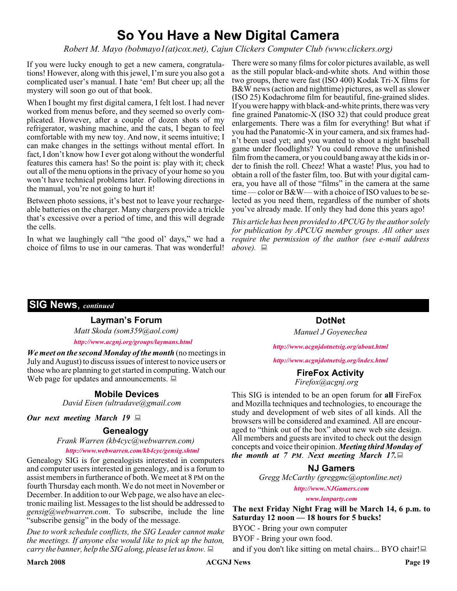### **So You Have a New Digital Camera**

*Robert M. Mayo (bobmayo1(at)cox.net), Cajun Clickers Computer Club (www.clickers.org)*

If you were lucky enough to get a new camera, congratulations! However, along with this jewel, I'm sure you also got a complicated user's manual. I hate 'em! But cheer up; all the mystery will soon go out of that book.

When I bought my first digital camera, I felt lost. I had never worked from menus before, and they seemed so overly complicated. However, after a couple of dozen shots of my refrigerator, washing machine, and the cats, I began to feel comfortable with my new toy. And now, it seems intuitive; I can make changes in the settings without mental effort. In fact, I don't know how I ever got along without the wonderful features this camera has! So the point is: play with it; check out all of the menu options in the privacy of your home so you won't have technical problems later. Following directions in the manual, you're not going to hurt it!

Between photo sessions, it's best not to leave your rechargeable batteries on the charger. Many chargers provide a trickle that's excessive over a period of time, and this will degrade the cells.

In what we laughingly call "the good ol' days," we had a choice of films to use in our cameras. That was wonderful!

There were so many films for color pictures available, as well as the still popular black-and-white shots. And within those two groups, there were fast (ISO 400) Kodak Tri-X films for B&W news (action and nighttime) pictures, as well as slower (ISO 25) Kodachrome film for beautiful, fine-grained slides. If you were happy with black-and-white prints, there was very fine grained Panatomic-X (ISO 32) that could produce great enlargements. There was a film for everything! But what if you had the Panatomic-X in your camera, and six frames hadn't been used yet; and you wanted to shoot a night baseball game under floodlights? You could remove the unfinished film from the camera, or you could bang away at the kids in order to finish the roll. Cheez! What a waste! Plus, you had to obtain a roll of the faster film, too. But with your digital camera, you have all of those "films" in the camera at the same time — color or B&W— with a choice of ISO values to be selected as you need them, regardless of the number of shots you've already made. If only they had done this years ago!

*This article has been provided to APCUG by the author solely for publication by APCUG member groups. All other uses require the permission of the author (see e-mail address above*). 口

#### **SIG News**, *continued*

#### **Layman's Forum**

*Matt Skoda (som359@aol.com) <http://www.acgnj.org/groups/laymans.html>*

*We meet on the second Monday of the month* (no meetings in July and August) to discuss issues of interest to novice users or those who are planning to get started in computing. Watch our those who are planning to get started in computing. Watch our **FireFox Activity**<br>Web page for updates and announcements.  $\Box$ 

#### **Mobile Devices**

*David Eisen (ultradave@gmail.com*

#### *Our next meeting March 19*

#### **Genealogy**

*Frank Warren (kb4cyc@webwarren.com)*

#### *<http://www.webwarren.com/kb4cyc/gensig.shtml>*

Genealogy SIG is for genealogists interested in computers and computer users interested in genealogy, and is a forum to assist members in furtherance of both. We meet at 8 PM on the fourth Thursday each month. We do not meet in November or December. In addition to our Web page, we also have an electronic mailing list. Messages to the list should be addressed to *gensig@webwarren.com*. To subscribe, include the line "subscribe gensig" in the body of the message.

*Due to work schedule conflicts, the SIG Leader cannot make the meetings. If anyone else would like to pick up the baton, carry the banner, help the SIG along, please let us know.*

**DotNet** *Manuel J Goyenechea*

*<http://www.acgnjdotnetsig.org/about.html>*

#### *<http://www.acgnjdotnetsig.org/index.html>*

## *Firefox@acgnj.org*

This SIG is intended to be an open forum for **all** FireFox and Mozilla techniques and technologies, to encourage the study and development of web sites of all kinds. All the browsers will be considered and examined. All are encouraged to "think out of the box" about new web site design. All members and guests are invited to check out the design concepts and voice their opinion. *Meeting third Monday of the month at 7 PM*. *Next meeting March 17.*

#### **NJ Gamers**

*Gregg McCarthy (greggmc@optonline.net)*

*<http://www.NJGamers.com>*

*[www.lanparty.com](http://www.lanparty.com)*

**The next Friday Night Frag will be March 14, 6 p.m. to Saturday 12 noon — 18 hours for 5 bucks!**

BYOC - Bring your own computer

BYOF - Bring your own food.

and if you don't like sitting on metal chairs... BYO chair!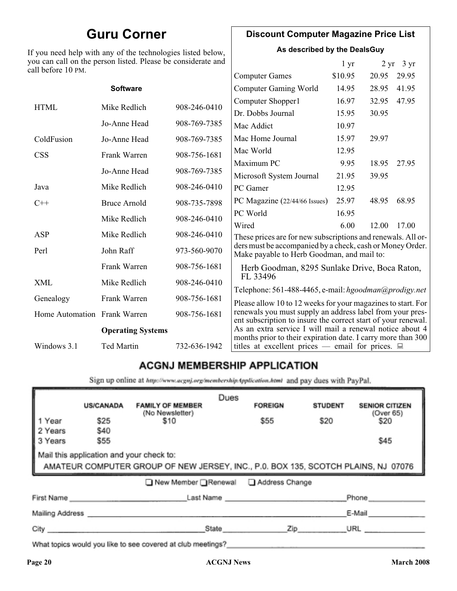### **Guru Corner**

If you need help with any of the technologies listed below, you can call on the person listed. Please be considerate and ca

#### **Discount Computer Magazine Price List**

**As described by the DealsGuy**

| ou can call on the person listed. Please be considerate and<br>ll before 10 PM. |                          |              | 1 <sub>yr</sub>                                                                                                            |         | $2 \text{ yr}$ 3 yr |       |
|---------------------------------------------------------------------------------|--------------------------|--------------|----------------------------------------------------------------------------------------------------------------------------|---------|---------------------|-------|
|                                                                                 |                          |              | <b>Computer Games</b>                                                                                                      | \$10.95 | 20.95               | 29.95 |
|                                                                                 | <b>Software</b>          |              | <b>Computer Gaming World</b>                                                                                               | 14.95   | 28.95               | 41.95 |
| <b>HTML</b>                                                                     | Mike Redlich             | 908-246-0410 | Computer Shopper1                                                                                                          | 16.97   | 32.95               | 47.95 |
|                                                                                 |                          |              | Dr. Dobbs Journal                                                                                                          | 15.95   | 30.95               |       |
|                                                                                 | Jo-Anne Head             | 908-769-7385 | Mac Addict                                                                                                                 | 10.97   |                     |       |
| ColdFusion                                                                      | Jo-Anne Head             | 908-769-7385 | Mac Home Journal                                                                                                           | 15.97   | 29.97               |       |
| <b>CSS</b>                                                                      | Frank Warren             | 908-756-1681 | Mac World                                                                                                                  | 12.95   |                     |       |
|                                                                                 |                          |              | Maximum PC                                                                                                                 | 9.95    | 18.95               | 27.95 |
|                                                                                 | Jo-Anne Head             | 908-769-7385 | Microsoft System Journal                                                                                                   | 21.95   | 39.95               |       |
| Java                                                                            | Mike Redlich             | 908-246-0410 | PC Gamer                                                                                                                   | 12.95   |                     |       |
| $C++$                                                                           | <b>Bruce Arnold</b>      | 908-735-7898 | PC Magazine (22/44/66 Issues)                                                                                              | 25.97   | 48.95               | 68.95 |
|                                                                                 | Mike Redlich             | 908-246-0410 | PC World                                                                                                                   | 16.95   |                     |       |
|                                                                                 |                          |              | Wired                                                                                                                      | 6.00    | 12.00               | 17.00 |
| ASP                                                                             | Mike Redlich             | 908-246-0410 | These prices are for new subscriptions and renewals. All or-                                                               |         |                     |       |
| Perl                                                                            | John Raff                | 973-560-9070 | ders must be accompanied by a check, cash or Money Order.<br>Make payable to Herb Goodman, and mail to:                    |         |                     |       |
|                                                                                 | Frank Warren             | 908-756-1681 | Herb Goodman, 8295 Sunlake Drive, Boca Raton,                                                                              |         |                     |       |
| XML                                                                             | Mike Redlich             | 908-246-0410 | FL 33496                                                                                                                   |         |                     |       |
| Genealogy                                                                       | Frank Warren             | 908-756-1681 | Telephone: 561-488-4465, e-mail: hgoodman@prodigy.net<br>Please allow 10 to 12 weeks for your magazines to start. For      |         |                     |       |
| Home Automation Frank Warren                                                    |                          | 908-756-1681 | renewals you must supply an address label from your pres-<br>ent subscription to insure the correct start of your renewal. |         |                     |       |
|                                                                                 | <b>Operating Systems</b> |              | As an extra service I will mail a renewal notice about 4<br>months prior to their expiration date. I carry more than 300   |         |                     |       |
| Windows 3.1                                                                     | <b>Ted Martin</b>        | 732-636-1942 | titles at excellent prices — email for prices. $\Box$                                                                      |         |                     |       |
|                                                                                 |                          |              |                                                                                                                            |         |                     |       |

### **ACGNJ MEMBERSHIP APPLICATION**

Sign up online at http://www.acguj.org/membershipApplication.html and pay dues with PayPal.

| <b>US/CANADA</b>                                                                                                              | <b>FAMILY OF MEMBER</b> | Dues                                                         | <b>FOREIGN</b> | <b>STUDENT</b> | <b>SENIOR CITIZEN</b> |  |
|-------------------------------------------------------------------------------------------------------------------------------|-------------------------|--------------------------------------------------------------|----------------|----------------|-----------------------|--|
| \$25                                                                                                                          | \$10                    |                                                              | \$55           | \$20           | (Over 65)<br>\$20     |  |
| \$55                                                                                                                          |                         |                                                              |                |                | \$45                  |  |
| Mail this application and your check to:<br>AMATEUR COMPUTER GROUP OF NEW JERSEY, INC., P.0. BOX 135, SCOTCH PLAINS, NJ 07076 |                         |                                                              |                |                |                       |  |
| ■ New Member Renewal ■ Address Change                                                                                         |                         |                                                              |                |                |                       |  |
|                                                                                                                               |                         |                                                              |                |                | Phone                 |  |
|                                                                                                                               |                         |                                                              |                |                | E-Mail                |  |
|                                                                                                                               |                         |                                                              |                |                | URL                   |  |
|                                                                                                                               | \$40<br>City            | (No Newsletter)<br>First Name<br>Mailing Address ___________ | State          |                | Last Name<br>Zip      |  |

What topics would you like to see covered at club meetings?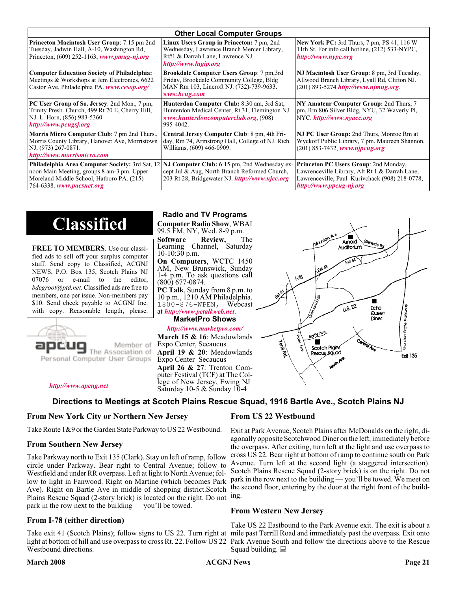| <b>Other Local Computer Groups</b>                                                                                                                       |                                                                                                                                                                                                              |                                                                                                                                                                      |  |  |  |
|----------------------------------------------------------------------------------------------------------------------------------------------------------|--------------------------------------------------------------------------------------------------------------------------------------------------------------------------------------------------------------|----------------------------------------------------------------------------------------------------------------------------------------------------------------------|--|--|--|
| <b>Princeton Macintosh User Group:</b> 7:15 pm 2nd<br>Tuesday, Jadwin Hall, A-10, Washington Rd,<br>Princeton, $(609)$ 252-1163, www.pmug-nj.org         | Linux Users Group in Princeton: 7 pm, 2nd<br>Wednesday, Lawrence Branch Mercer Library,<br>Rt#1 & Darrah Lane, Lawrence NJ<br>http://www.lugip.org                                                           | <b>New York PC:</b> 3rd Thurs, 7 pm, PS 41, 116 W<br>11th St. For info call hotline, (212) 533-NYPC,<br>http://www.nypc.org                                          |  |  |  |
| <b>Computer Education Society of Philadelphia:</b><br>Meetings & Workshops at Jem Electronics, 6622<br>Castor Ave, Philadelphia PA. www.cesop.org/       | <b>Brookdale Computer Users Group:</b> 7 pm, 3rd<br>Friday, Brookdale Community College, Bldg<br>MAN Rm 103, Lincroft NJ. (732)-739-9633.<br>www.bcug.com                                                    | NJ Macintosh User Group: 8 pm, 3rd Tuesday,<br>Allwood Branch Library, Lyall Rd, Clifton NJ.<br>$(201) 893 - 5274$ http://www.njmug.org.                             |  |  |  |
| PC User Group of So. Jersey: 2nd Mon., 7 pm,<br>Trinity Presb. Church, 499 Rt 70 E, Cherry Hill,<br>NJ. L. Horn, (856) 983-5360<br>http://www.pcugsj.org | Hunterdon Computer Club: 8:30 am, 3rd Sat,<br>Hunterdon Medical Center, Rt 31, Flemington NJ.<br>www.hunterdoncomputerclub.org. (908)<br>995-4042.                                                           | NY Amateur Computer Group: 2nd Thurs, 7<br>pm, Rm 806 Silver Bldg, NYU, 32 Waverly Pl,<br>NYC http://www.nyacc.org                                                   |  |  |  |
| Morris Micro Computer Club: 7 pm 2nd Thurs.,<br>Morris County Library, Hanover Ave, Morristown<br>NJ, (973) 267-0871.<br>http://www.morrismicro.com      | Central Jersey Computer Club: 8 pm, 4th Fri-<br>day, Rm 74, Armstrong Hall, College of NJ. Rich<br>Williams, (609) 466-0909.                                                                                 | NJ PC User Group: 2nd Thurs, Monroe Rm at<br>Wyckoff Public Library, 7 pm. Maureen Shannon,<br>$(201)$ 853-7432, www.njpcug.org                                      |  |  |  |
| noon Main Meeting, groups 8 am-3 pm. Upper<br>Moreland Middle School, Hatboro PA. (215)<br>764-6338. www.pacsnet.org                                     | <b>Philadelphia Area Computer Society: 3rd Sat, 12 NJ Computer Club: 6:15 pm, 2nd Wednesday ex-</b><br>cept Jul & Aug, North Branch Reformed Church,<br>203 Rt 28, Bridgewater NJ <i>http://www.njcc.org</i> | Princeton PC Users Group: 2nd Monday,<br>Lawrenceville Library, Alt Rt 1 & Darrah Lane,<br>Lawrenceville, Paul Kurivchack (908) 218-0778,<br>http://www.ppcug-nj.org |  |  |  |

## **Classified**

**FREE TO MEMBERS**. Use our classified ads to sell off your surplus computer stuff. Send copy to Classified, ACGNJ NEWS, P.O. Box 135, Scotch Plains NJ 07076 or e-mail to the editor, *bdegroot@ptd.net*. Classified ads are free to members, one per issue. Non-members pay \$10. Send check payable to ACGNJ Inc. with copy. Reasonable length, please.



#### **Radio and TV Programs**

**Computer Radio Show**, WBAI 99.5 FM, NY, Wed. 8-9 p.m. **Software Review,** The

Learning Channel, Saturday  $10-10:30$  p.m. **On Computers**, WCTC 1450

AM, New Brunswick, Sunday 1-4 p.m. To ask questions call (800) 677-0874.

**PC Talk**, Sunday from 8 p.m. to 10 p.m., 1210 AM Philadelphia. 1800-876-WPEN, Webcast at *<http://www.pctalkweb.net>*.

**MarketPro Shows**

*<http://www.marketpro.com/>*

**March 15 & 16**: Meadowlands Expo Center, Secaucus **April 19 & 20**: Meadowlands Expo Center Secaucus **April 26 & 27**: Trenton Computer Festival (TCF) at The College of New Jersey, Ewing NJ Saturday 10-5 & Sunday 10-4

 $\blacksquare$ Amold **Auditorium**  $178$  $\sqrt{1.5 \cdot 22}$ Fcho Borden State Parkwi Queen Diner Bodle Ave Г اھ<br>ا Scotch Plains Rescue Sound **Ext1 135** 

#### *<http://www.apcug.net>*

#### **Directions to Meetings at Scotch Plains Rescue Squad, 1916 Bartle Ave., Scotch Plains NJ**

#### **From New York City or Northern New Jersey**

Take Route 1&9 or the Garden State Parkway to US 22 Westbound.

#### **From Southern New Jersey**

Take Parkway north to Exit 135 (Clark). Stay on left of ramp, follow circle under Parkway. Bear right to Central Avenue; follow to Westfield and under RR overpass. Left at light to North Avenue; follow to light in Fanwood. Right on Martine (which becomes Park Ave). Right on Bartle Ave in middle of shopping district.Scotch Plains Rescue Squad (2-story brick) is located on the right. Do not ing. park in the row next to the building — you'll be towed.

#### **From I-78 (either direction)**

Take exit 41 (Scotch Plains); follow signs to US 22. Turn right at mile past Terrill Road and immediately past the overpass. Exit onto light at bottom of hill and use overpass to cross Rt. 22. Follow US 22 Park Avenue South and follow the directions above to the Rescue Westbound directions.

#### **From US 22 Westbound**

Exit at Park Avenue, Scotch Plains after McDonalds on the right, diagonally opposite Scotchwood Diner on the left, immediately before the overpass. After exiting, turn left at the light and use overpass to cross US 22. Bear right at bottom of ramp to continue south on Park Avenue. Turn left at the second light (a staggered intersection). Scotch Plains Rescue Squad (2-story brick) is on the right. Do not park in the row next to the building — you'll be towed. We meet on the second floor, entering by the door at the right front of the build-

#### **From Western New Jersey**

Take US 22 Eastbound to the Park Avenue exit. The exit is about a Squad building.  $\Box$